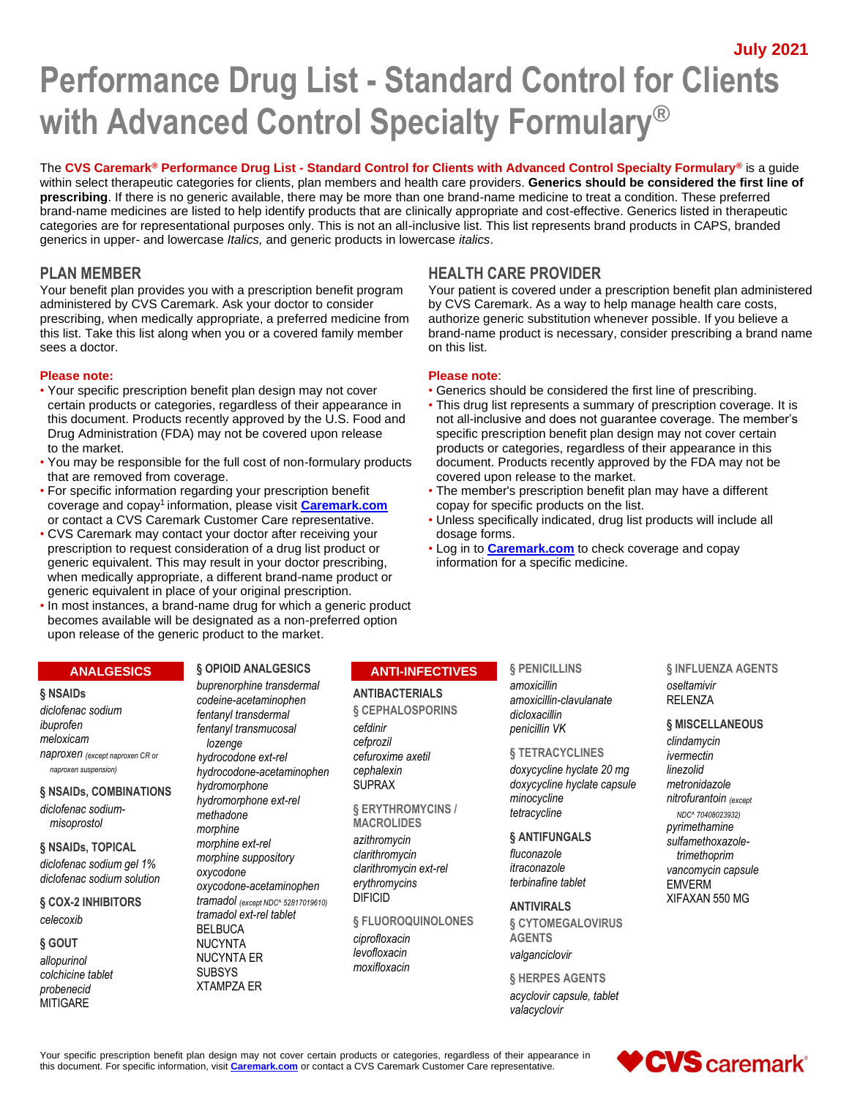**July 2021**

# **Performance Drug List - Standard Control for Clients with Advanced Control Specialty Formulary®**

The **CVS Caremark® Performance Drug List - Standard Control for Clients with Advanced Control Specialty Formulary®** is a guide within select therapeutic categories for clients, plan members and health care providers. **Generics should be considered the first line of prescribing**. If there is no generic available, there may be more than one brand-name medicine to treat a condition. These preferred brand-name medicines are listed to help identify products that are clinically appropriate and cost-effective. Generics listed in therapeutic categories are for representational purposes only. This is not an all-inclusive list. This list represents brand products in CAPS, branded generics in upper- and lowercase *Italics,* and generic products in lowercase *italics*.

Your benefit plan provides you with a prescription benefit program administered by CVS Caremark. Ask your doctor to consider prescribing, when medically appropriate, a preferred medicine from this list. Take this list along when you or a covered family member sees a doctor.

# **Please note: Please note**:

- Your specific prescription benefit plan design may not cover Generics should be considered the first line of prescribing. Drug Administration (FDA) may not be covered upon release to the market. products or categories, regardless of their appearance in this
- You may be responsible for the full cost of non-formulary products document. Products recently approved by the FDA may not be that are removed from coverage. covered upon release to the market.
- For specific information regarding your prescription benefit The member's prescription benefit plan may have a different coverage and copay<sup>1</sup>information, please visit **[Caremark.com](https://www.caremark.com/)** copay for specific products on the list.
- CVS Caremark may contact your doctor after receiving your dosage forms. prescription to request consideration of a drug list product or • Log in to **[Caremark.com](https://www.caremark.com/)** to check coverage and copay generic equivalent. This may result in your doctor prescribing, information for a specific medicine. when medically appropriate, a different brand-name product or generic equivalent in place of your original prescription.
- In most instances, a brand-name drug for which a generic product becomes available will be designated as a non-preferred option upon release of the generic product to the market.

# **ANALGESICS**

#### **§ NSAIDs**

*diclofenac sodium ibuprofen meloxicam naproxen (except naproxen CR or naproxen suspension)*

# **§ NSAIDs, COMBINATIONS**

*diclofenac sodiummisoprostol*

# **§ NSAIDs, TOPICAL** *diclofenac sodium gel 1% diclofenac sodium solution*

**§ COX-2 INHIBITORS** *celecoxib*

#### **§ GOUT** *allopurinol colchicine tablet probenecid* **MITIGARE**

# **§ OPIOID ANALGESICS** *buprenorphine transdermal*

*codeine-acetaminophen fentanyl transdermal fentanyl transmucosal lozenge hydrocodone ext-rel hydrocodone-acetaminophen hydromorphone hydromorphone ext-rel methadone morphine morphine ext-rel morphine suppository oxycodone oxycodone-acetaminophen tramadol (except NDC^ 52817019610) tramadol ext-rel tablet* BELBUCA NUCYNTA NUCYNTA ER **SUBSYS** XTAMPZA ER

# **ANTI-INFECTIVES**

# **ANTIBACTERIALS**

**§ CEPHALOSPORINS** *cefdinir cefprozil cefuroxime axetil cephalexin* SUPRAX

**§ ERYTHROMYCINS / MACROLIDES**

*azithromycin clarithromycin clarithromycin ext-rel erythromycins* DIFICID

**§ FLUOROQUINOLONES**

*ciprofloxacin levofloxacin moxifloxacin*

# **§ PENICILLINS**

*amoxicillin amoxicillin-clavulanate dicloxacillin penicillin VK*

#### **§ TETRACYCLINES**

*doxycycline hyclate 20 mg doxycycline hyclate capsule minocycline tetracycline*

**§ ANTIFUNGALS**

*fluconazole itraconazole terbinafine tablet*

**ANTIVIRALS § CYTOMEGALOVIRUS AGENTS** *valganciclovir*

**§ HERPES AGENTS** *acyclovir capsule, tablet valacyclovir*

**§ INFLUENZA AGENTS** *oseltamivir* RELENZA

# **§ MISCELLANEOUS**

*clindamycin ivermectin linezolid metronidazole nitrofurantoin (except NDC^ 70408023932) pyrimethamine sulfamethoxazoletrimethoprim vancomycin capsule* EMVERM XIFAXAN 550 MG





# **PLAN MEMBER HEALTH CARE PROVIDER**

Your patient is covered under a prescription benefit plan administered by CVS Caremark. As a way to help manage health care costs, authorize generic substitution whenever possible. If you believe a brand-name product is necessary, consider prescribing a brand name on this list.

- 
- certain products or categories, regardless of their appearance in This drug list represents a summary of prescription coverage. It is this document. Products recently approved by the U.S. Food and not all-inclusive and does not guarantee coverage. The member's Drug Administration (FDA) may not be covered upon release specific prescription benefit plan de
	-
- or contact a CVS Caremark Customer Care representative. Unless specifically indicated, drug list products will include all
	-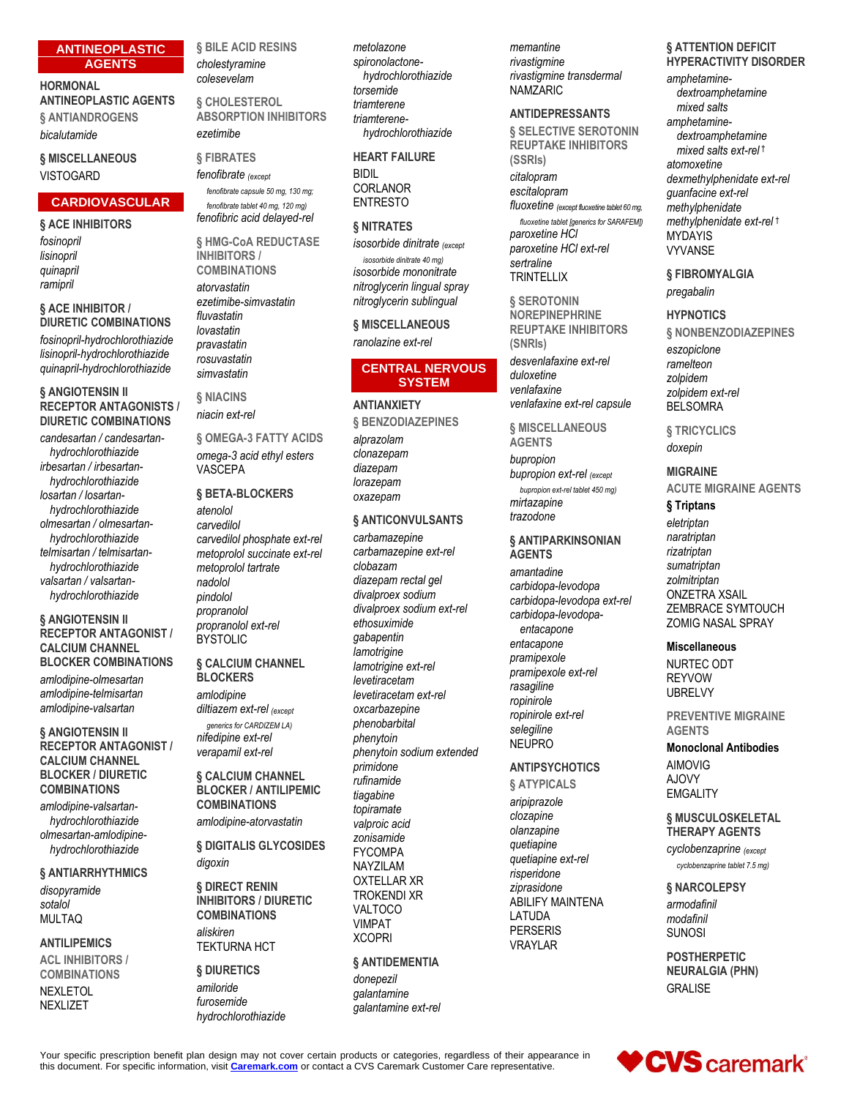# **ANTINEOPLASTIC AGENTS**

# **HORMONAL ANTINEOPLASTIC AGENTS**

**§ ANTIANDROGENS** *bicalutamide*

# **§ MISCELLANEOUS VISTOGARD**

# **CARDIOVASCULAR**

# **§ ACE INHIBITORS**

*fosinopril lisinopril quinapril ramipril*

#### **§ ACE INHIBITOR / DIURETIC COMBINATIONS**

*fosinopril-hydrochlorothiazide lisinopril-hydrochlorothiazide quinapril-hydrochlorothiazide*

#### **§ ANGIOTENSIN II RECEPTOR ANTAGONISTS / DIURETIC COMBINATIONS**

*candesartan / candesartanhydrochlorothiazide irbesartan / irbesartanhydrochlorothiazide losartan / losartanhydrochlorothiazide olmesartan / olmesartanhydrochlorothiazide telmisartan / telmisartanhydrochlorothiazide valsartan / valsartanhydrochlorothiazide*

#### **§ ANGIOTENSIN II RECEPTOR ANTAGONIST / CALCIUM CHANNEL BLOCKER COMBINATIONS**

*amlodipine-olmesartan amlodipine-telmisartan amlodipine-valsartan*

**§ ANGIOTENSIN II RECEPTOR ANTAGONIST / CALCIUM CHANNEL BLOCKER / DIURETIC COMBINATIONS**

*amlodipine-valsartanhydrochlorothiazide olmesartan-amlodipinehydrochlorothiazide*

# **§ ANTIARRHYTHMICS**

*disopyramide sotalol* MULTAQ

# **ANTILIPEMICS ACL INHIBITORS /**

**COMBINATIONS**

NEXLETOL NEXLIZET

**§ BILE ACID RESINS** *cholestyramine colesevelam*

**§ CHOLESTEROL ABSORPTION INHIBITORS** *ezetimibe*

# **§ FIBRATES** *fenofibrate (except*

*fenofibrate capsule 50 mg, 130 mg; fenofibrate tablet 40 mg, 120 mg) fenofibric acid delayed-rel*

**§ HMG-CoA REDUCTASE INHIBITORS / COMBINATIONS**

*atorvastatin ezetimibe-simvastatin fluvastatin lovastatin pravastatin rosuvastatin simvastatin*

**§ NIACINS** *niacin ext-rel*

**§ OMEGA-3 FATTY ACIDS** *omega-3 acid ethyl esters* VASCEPA

**§ BETA-BLOCKERS** *atenolol carvedilol carvedilol phosphate ext-rel metoprolol succinate ext-rel metoprolol tartrate nadolol pindolol propranolol propranolol ext-rel* **BYSTOLIC** 

# **§ CALCIUM CHANNEL BLOCKERS**

*amlodipine diltiazem ext-rel (except generics for CARDIZEM LA)*

*nifedipine ext-rel verapamil ext-rel*

**§ CALCIUM CHANNEL BLOCKER / ANTILIPEMIC COMBINATIONS**

*amlodipine-atorvastatin*

**§ DIGITALIS GLYCOSIDES** *digoxin*

#### **§ DIRECT RENIN INHIBITORS / DIURETIC COMBINATIONS** *aliskiren*

TEKTURNA HCT

# **§ DIURETICS** *amiloride furosemide hydrochlorothiazide*

*metolazone spironolactonehydrochlorothiazide torsemide triamterene triamterenehydrochlorothiazide*

# **HEART FAILURE**

BIDIL CORLANOR ENTRESTO

# **§ NITRATES**

*isosorbide dinitrate (except isosorbide dinitrate 40 mg) isosorbide mononitrate nitroglycerin lingual spray nitroglycerin sublingual*

**§ MISCELLANEOUS** *ranolazine ext-rel*

# **CENTRAL NERVOUS SYSTEM**

**ANTIANXIETY**

**§ BENZODIAZEPINES** *alprazolam clonazepam diazepam lorazepam oxazepam*

# **§ ANTICONVULSANTS**

*carbamazepine carbamazepine ext-rel clobazam diazepam rectal gel divalproex sodium divalproex sodium ext-rel ethosuximide gabapentin lamotrigine lamotrigine ext-rel levetiracetam levetiracetam ext-rel oxcarbazepine phenobarbital phenytoin phenytoin sodium extended primidone rufinamide tiagabine topiramate valproic acid zonisamide* FYCOMPA NAYZILAM OXTELLAR XR TROKENDI XR VALTOCO VIMPAT **XCOPRI § ANTIDEMENTIA**

*donepezil galantamine galantamine ext-rel* *memantine rivastigmine rivastigmine transdermal* NAMZARIC

# **ANTIDEPRESSANTS**

**§ SELECTIVE SEROTONIN REUPTAKE INHIBITORS (SSRIs)** *citalopram escitalopram fluoxetine (except fluoxetine tablet 60 mg, fluoxetine tablet [generics for SARAFEM]) paroxetine HCl paroxetine HCl ext-rel sertraline* **TRINTELLIX** 

**§ SEROTONIN NOREPINEPHRINE REUPTAKE INHIBITORS (SNRIs)** *desvenlafaxine ext-rel duloxetine venlafaxine venlafaxine ext-rel capsule*

**§ MISCELLANEOUS** 

**AGENTS** *bupropion bupropion ext-rel (except bupropion ext-rel tablet 450 mg) mirtazapine trazodone*

#### **§ ANTIPARKINSONIAN AGENTS**

*amantadine carbidopa-levodopa carbidopa-levodopa ext-rel carbidopa-levodopaentacapone entacapone pramipexole pramipexole ext-rel rasagiline ropinirole ropinirole ext-rel selegiline* **NEUPRO** 

# **ANTIPSYCHOTICS**

**§ ATYPICALS** *aripiprazole clozapine olanzapine quetiapine quetiapine ext-rel risperidone ziprasidone* ABILIFY MAINTENA LATUDA PERSERIS VRAYLAR

#### **§ ATTENTION DEFICIT HYPERACTIVITY DISORDER**

*amphetaminedextroamphetamine mixed salts amphetaminedextroamphetamine mixed salts ext-rel* † *atomoxetine dexmethylphenidate ext-rel guanfacine ext-rel methylphenidate methylphenidate ext-rel* † MYDAYIS VYVANSE

**§ FIBROMYALGIA** *pregabalin*

# **HYPNOTICS**

**§ NONBENZODIAZEPINES** *eszopiclone ramelteon zolpidem zolpidem ext-rel* BELSOMRA

**§ TRICYCLICS** *doxepin*

# **MIGRAINE ACUTE MIGRAINE AGENTS**

**§ Triptans**

*eletriptan naratriptan rizatriptan sumatriptan zolmitriptan* ONZETRA XSAIL ZEMBRACE SYMTOUCH ZOMIG NASAL SPRAY

# **Miscellaneous**

NURTEC ODT REYVOW UBRELVY

**PREVENTIVE MIGRAINE AGENTS**

**Monoclonal Antibodies** AIMOVIG AJOVY **EMGALITY** 

# **§ MUSCULOSKELETAL THERAPY AGENTS**

*cyclobenzaprine (except cyclobenzaprine tablet 7.5 mg)*

**§ NARCOLEPSY** *armodafinil modafinil* SUNOSI

**POSTHERPETIC NEURALGIA (PHN)** GRALISE

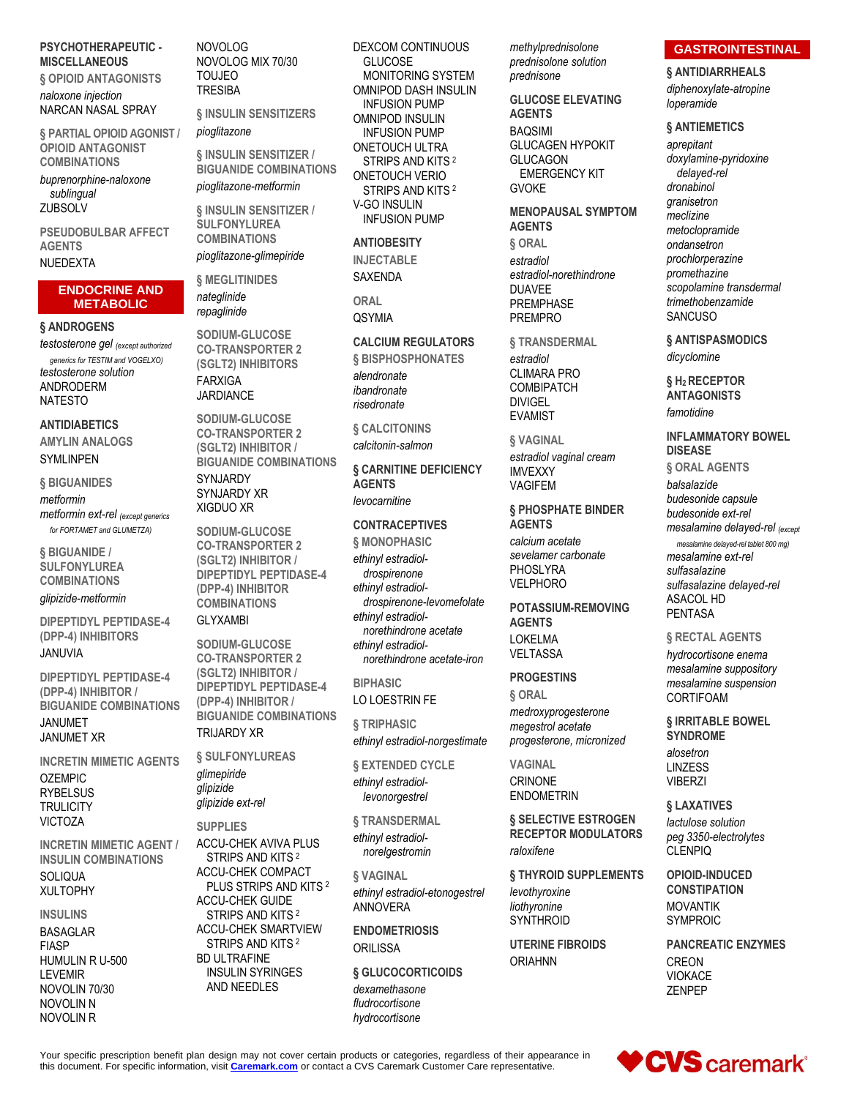# **PSYCHOTHERAPEUTIC - MISCELLANEOUS**

**§ OPIOID ANTAGONISTS** *naloxone injection* NARCAN NASAL SPRAY

**§ PARTIAL OPIOID AGONIST / OPIOID ANTAGONIST COMBINATIONS**

*buprenorphine-naloxone sublingual* ZUBSOLV

**PSEUDOBULBAR AFFECT AGENTS**

# NUEDEXTA

# **ENDOCRINE AND METABOLIC**

#### **§ ANDROGENS**

*testosterone gel (except authorized generics for TESTIM and VOGELXO) testosterone solution* ANDRODERM **NATESTO** 

#### **ANTIDIABETICS**

**AMYLIN ANALOGS** SYMLINPEN

**§ BIGUANIDES** *metformin metformin ext-rel (except generics for FORTAMET and GLUMETZA)*

**§ BIGUANIDE / SULFONYLUREA COMBINATIONS**

*glipizide-metformin*

**DIPEPTIDYL PEPTIDASE-4 (DPP-4) INHIBITORS** JANUVIA

**DIPEPTIDYL PEPTIDASE-4 (DPP-4) INHIBITOR / BIGUANIDE COMBINATIONS**

JANUMET JANUMET XR

**INCRETIN MIMETIC AGENTS** OZEMPIC RYBELSUS **TRULICITY** VICTOZA

**INCRETIN MIMETIC AGENT / INSULIN COMBINATIONS SOLIQUA** XULTOPHY

# **INSULINS**

BASAGLAR FIASP HUMULIN R U-500 LEVEMIR NOVOLIN 70/30 NOVOLIN N NOVOLIN R

NOVOLOG NOVOLOG MIX 70/30 TOUJEO **TRESIBA** 

**§ INSULIN SENSITIZERS** *pioglitazone*

**§ INSULIN SENSITIZER / BIGUANIDE COMBINATIONS** *pioglitazone-metformin*

**§ INSULIN SENSITIZER / SULFONYLUREA COMBINATIONS** *pioglitazone-glimepiride*

**§ MEGLITINIDES** *nateglinide repaglinide*

**SODIUM-GLUCOSE CO-TRANSPORTER 2 (SGLT2) INHIBITORS** FARXIGA JARDIANCE

**SODIUM-GLUCOSE CO-TRANSPORTER 2 (SGLT2) INHIBITOR / BIGUANIDE COMBINATIONS SYNJARDY** SYNJARDY XR XIGDUO XR

**SODIUM-GLUCOSE CO-TRANSPORTER 2 (SGLT2) INHIBITOR / DIPEPTIDYL PEPTIDASE-4 (DPP-4) INHIBITOR COMBINATIONS**

#### GLYXAMBI

**SODIUM-GLUCOSE CO-TRANSPORTER 2 (SGLT2) INHIBITOR / DIPEPTIDYL PEPTIDASE-4 (DPP-4) INHIBITOR / BIGUANIDE COMBINATIONS** TRIJARDY XR

**§ SULFONYLUREAS** *glimepiride glipizide*

ACCU-CHEK AVIVA PLUS STRIPS AND KITS <sup>2</sup> ACCU-CHEK COMPACT ACCU-CHEK GUIDE

STRIPS AND KITS <sup>2</sup> INSULIN SYRINGES AND NEEDLES

DEXCOM CONTINUOUS **GLUCOSE** MONITORING SYSTEM OMNIPOD DASH INSULIN INFUSION PUMP OMNIPOD INSULIN INFUSION PUMP ONETOUCH ULTRA STRIPS AND KITS <sup>2</sup> ONETOUCH VERIO STRIPS AND KITS <sup>2</sup> V-GO INSULIN INFUSION PUMP

**ANTIOBESITY INJECTABLE**

SAXENDA

**ORAL** QSYMIA

# **CALCIUM REGULATORS**

**§ BISPHOSPHONATES** *alendronate ibandronate risedronate*

**§ CALCITONINS** *calcitonin-salmon*

**§ CARNITINE DEFICIENCY AGENTS** *levocarnitine*

# **CONTRACEPTIVES**

**§ MONOPHASIC** *ethinyl estradioldrospirenone ethinyl estradioldrospirenone-levomefolate ethinyl estradiolnorethindrone acetate ethinyl estradiolnorethindrone acetate-iron*

**BIPHASIC** LO LOESTRIN FE

**§ TRIPHASIC** *ethinyl estradiol-norgestimate*

**§ EXTENDED CYCLE** *ethinyl estradiollevonorgestrel*

**§ TRANSDERMAL** *ethinyl estradiol-*

*norelgestromin*

**§ VAGINAL** *ethinyl estradiol-etonogestrel* ANNOVERA

**ENDOMETRIOSIS ORILISSA** 

**§ GLUCOCORTICOIDS** *dexamethasone fludrocortisone hydrocortisone*

*methylprednisolone prednisolone solution prednisone*

**GLUCOSE ELEVATING AGENTS** BAQSIMI GLUCAGEN HYPOKIT GLUCAGON EMERGENCY KIT **GVOKE** 

**MENOPAUSAL SYMPTOM AGENTS § ORAL** *estradiol estradiol-norethindrone* DUAVEE PREMPHASE PREMPRO

**§ TRANSDERMAL** *estradiol*

CLIMARA PRO **COMBIPATCH** DIVIGEL

**§ VAGINAL**

EVAMIST

*estradiol vaginal cream* IMVEXXY VAGIFEM

**§ PHOSPHATE BINDER AGENTS**

*calcium acetate sevelamer carbonate* PHOSLYRA VELPHORO

**POTASSIUM-REMOVING AGENTS** LOKELMA VELTASSA

# **PROGESTINS**

**§ ORAL** *medroxyprogesterone megestrol acetate progesterone, micronized*

**VAGINAL** CRINONE ENDOMETRIN

**§ SELECTIVE ESTROGEN RECEPTOR MODULATORS** *raloxifene*

**§ THYROID SUPPLEMENTS** *levothyroxine liothyronine*

**SYNTHROID UTERINE FIBROIDS**

ORIAHNN

# **GASTROINTESTINAL**

**§ ANTIDIARRHEALS** *diphenoxylate-atropine loperamide*

#### **§ ANTIEMETICS**

*aprepitant doxylamine-pyridoxine delayed-rel dronabinol granisetron meclizine metoclopramide ondansetron prochlorperazine promethazine scopolamine transdermal trimethobenzamide* **SANCUSO** 

**§ ANTISPASMODICS**

*dicyclomine*

**§ H2 RECEPTOR ANTAGONISTS** *famotidine*

**INFLAMMATORY BOWEL DISEASE § ORAL AGENTS** *balsalazide budesonide capsule budesonide ext-rel mesalamine delayed-rel (except mesalamine delayed-rel tablet 800 mg) mesalamine ext-rel sulfasalazine sulfasalazine delayed-rel* ASACOL HD

# **§ RECTAL AGENTS**

PENTASA

*hydrocortisone enema mesalamine suppository mesalamine suspension* CORTIFOAM

**§ IRRITABLE BOWEL SYNDROME** *alosetron* LINZESS VIBERZI

**§ LAXATIVES** *lactulose solution peg 3350-electrolytes* CLENPIQ

**OPIOID-INDUCED CONSTIPATION** MOVANTIK SYMPROIC

**PANCREATIC ENZYMES** CREON VIOKACE ZENPEP



Your specific prescription benefit plan design may not cover certain products or categories, regardless of their appearance in this document. For specific information, visit **[Caremark.com](https://www.caremark.com/)** or contact a CVS Caremark Customer Care representative.

*glipizide ext-rel*

**SUPPLIES**

PLUS STRIPS AND KITS <sup>2</sup> STRIPS AND KITS<sup>2</sup> ACCU-CHEK SMARTVIEW BD ULTRAFINE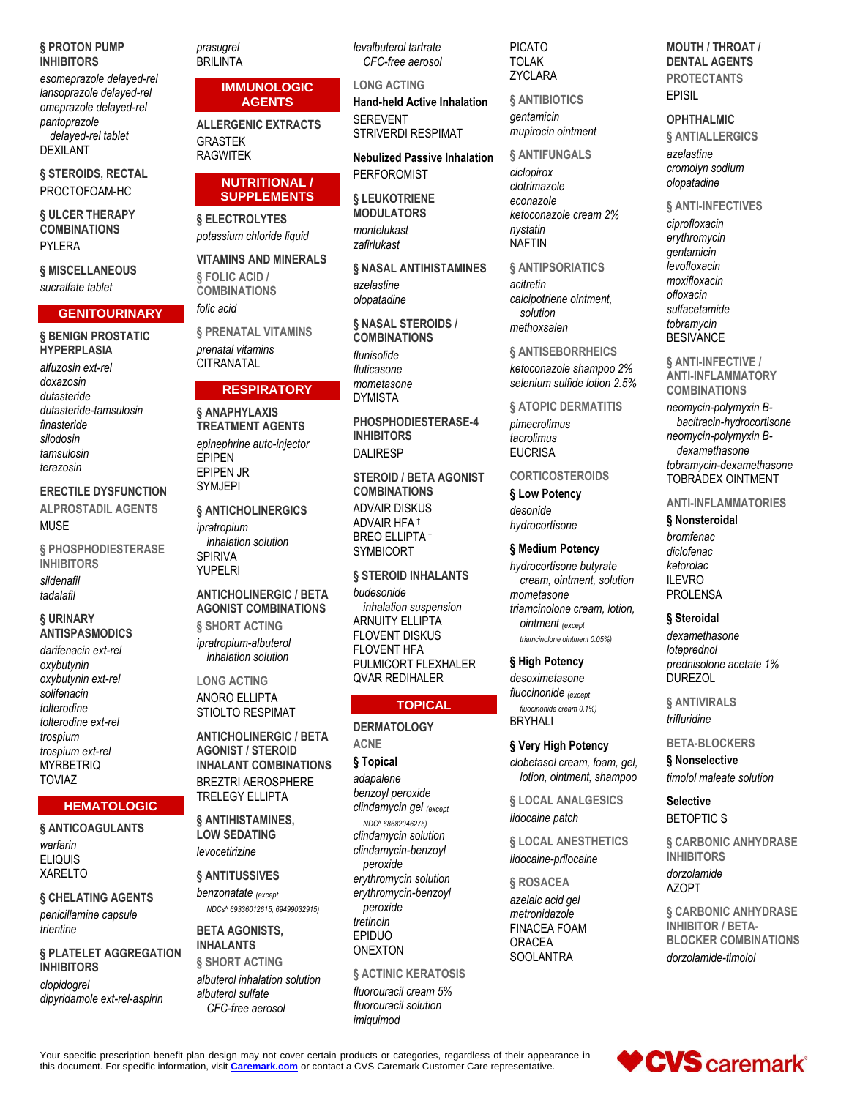#### § PROTON PUMP **INHIBITORS**

esomeprazole delayed-rel lansoprazole delayed-rel omeprazole delayed-rel pantoprazole delaved-rel tablet **DEXILANT** 

§ STEROIDS, RECTAL PROCTOFOAM-HC

§ ULCER THERAPY **COMBINATIONS** PYLERA

# § MISCELLANEOUS

sucralfate tablet

# **GENITOURINARY**

**§ BENIGN PROSTATIC HYPERPLASIA** alfuzosin ext-rel doxazosin dutasteride dutasteride-tamsulosin finasteride silodosin tamsulosin

**ERECTILE DYSFUNCTION** 

terazosin

# **ALPROSTADIL AGENTS MUSE**

§ PHOSPHODIESTERASE **INHIBITORS** sildenafil tadalafil

§ URINARY **ANTISPASMODICS** darifenacin ext-rel oxybutynin oxybutynin ext-rel solifenacin

tolterodine tolterodine ext-rel trospium trospium ext-rel **MYRBETRIQ TOVIAZ** 

# **HEMATOLOGIC**

§ ANTICOAGULANTS warfarin **ELIQUIS XARELTO** 

§ CHELATING AGENTS penicillamine capsule trientine

§ PLATELET AGGREGATION **INHIBITORS** clopidogrel dipyridamole ext-rel-aspirin

prasugrel **BRILINTA** 

#### **IMMUNOLOGIC AGENTS**

**ALLERGENIC EXTRACTS GRASTEK RAGWITEK** 

# **NUTRITIONAL/ SUPPLEMENTS**

§ ELECTROLYTES potassium chloride liquid

> **VITAMINS AND MINERALS** § FOLIC ACID / **COMBINATIONS** folic acid

**§ PRENATAL VITAMINS** prenatal vitamins **CITRANATAI** 

# **RESPIRATORY**

§ ANAPHYLAXIS TREATMENT AGENTS epinephrine auto-injector **EPIPEN EPIPEN JR SYMJEPI** 

**§ ANTICHOLINERGICS** 

ipratropium inhalation solution **SPIRIVA YUPELRI** 

# **ANTICHOLINERGIC / BETA AGONIST COMBINATIONS** § SHORT ACTING

ipratropium-albuterol inhalation solution

**LONG ACTING ANORO ELLIPTA STIOLTO RESPIMAT** 

**ANTICHOLINERGIC / BETA AGONIST / STEROID INHALANT COMBINATIONS BREZTRI AEROSPHERE TRELEGY ELLIPTA** 

**& ANTIHISTAMINES. LOW SEDATING** levocetirizine

§ ANTITUSSIVES

benzonatate (except NDCs^ 69336012615, 69499032915)

**BETA AGONISTS, INHALANTS** 

§ SHORT ACTING albuterol inhalation solution albuterol sulfate CFC-free aerosol

levalbuterol tartrate CFC-free aerosol

# **LONG ACTING**

**Hand-held Active Inhalation SEREVENT STRIVERDI RESPIMAT** 

**Nebulized Passive Inhalation PERFOROMIST** 

# **§ LEUKOTRIENE MODULATORS** montelukast zafirlukast

**6 NASAL ANTIHISTAMINES** 

azelastine olopatadine

§ NASAL STEROIDS / **COMBINATIONS** flunisolide

fluticasone mometasone **DYMISTA** 

PHOSPHODIESTERASE-4 **INHIBITORS DALIRESP** 

**STEROID / RETA AGONIST COMBINATIONS ADVAIR DISKUS** ADVAIR HFA<sup>+</sup> **BREO ELLIPTA T SYMBICORT** 

§ STEROID INHALANTS budesonide inhalation suspension ARNUITY ELLIPTA **FLOVENT DISKUS FLOVENT HFA** PULMICORT FLEXHALER **QVAR REDIHALER** 

# **TOPICAL**

**DERMATOLOGY ACNE** § Topical adapalene benzoyl peroxide clindamycin gel (except NDC^ 68682046275) clindamycin solution clindamycin-benzoyl peroxide erythromycin solution erythromycin-benzoyl peroxide tretinoin EPIDUO **ONEXTON** 

**& ACTINIC KERATOSIS** fluorouracil cream 5% fluorouracil solution imiquimod

**PICATO TOLAK** ZYCLARA

**& ANTIBIOTICS** 

gentamicin mupirocin ointment

# **& ANTIFUNGALS**

ciclopirox clotrimazole econazole ketoconazole cream 2% nystatin **NAFTIN** 

§ ANTIPSORIATICS

acitretin calcipotriene ointment, solution methovsalen

§ ANTISEBORRHEICS ketoconazole shampoo 2% selenium sulfide lotion 2.5%

# **§ ATOPIC DERMATITIS**

pimecrolimus tacrolimus **EUCRISA** 

# **CORTICOSTEROIDS**

§ Low Potency desonide hydrocortisone

# § Medium Potency

hydrocortisone butyrate cream, ointment, solution mometasone triamcinolone cream, lotion, ointment (except triamcinolone ointment 0.05%)

# § High Potency

desoximetasone fluocinonide (except

fluocinonide cream 0.1%) **BRYHALI** 

# § Very High Potency

clobetasol cream, foam, gel, lotion, ointment, shampoo

§ LOCAL ANALGESICS lidocaine patch

**§ LOCAL ANESTHETICS** lidocaine-prilocaine

§ ROSACEA azelaic acid gel metronidazole **FINACEA FOAM** ORACFA **SOOLANTRA** 

# **MOUTH / THROAT / DENTAL AGENTS PROTECTANTS EPISIL**

#### **OPHTHALMIC**

**§ ANTIALLERGICS** azelastine cromolyn sodium olopatadine

§ ANTI-INFECTIVES ciprofloxacin erythromycin gentamicin levofloxacin moxifloxacin ofloxacin sulfacetamide tobramycin **BESIVANCE** 

**§ ANTI-INFECTIVE / ANTI-INFLAMMATORY COMBINATIONS** 

neomycin-polymyxin Bbacitracin-hydrocortisone neomycin-polymyxin Bdexamethasone tobramycin-dexamethasone **TOBRADEX OINTMENT** 

# **ANTI-INFLAMMATORIES**

# § Nonsteroidal

bromfenac diclofenac ketorolac **II FVRO PROLENSA** 

# § Steroidal

dexamethasone loteprednol prednisolone acetate 1% **DUREZOL** 

§ ANTIVIRALS trifluridine

# **BETA-BLOCKERS**

§ Nonselective timolol maleate solution

**Selective BETOPTIC S** 

**& CARBONIC ANHYDRASE INHIBITORS** dorzolamide **AZOPT** 

**6 CARBONIC ANHYDRASE INHIBITOR / BETA-BLOCKER COMBINATIONS** dorzolamide-timolol

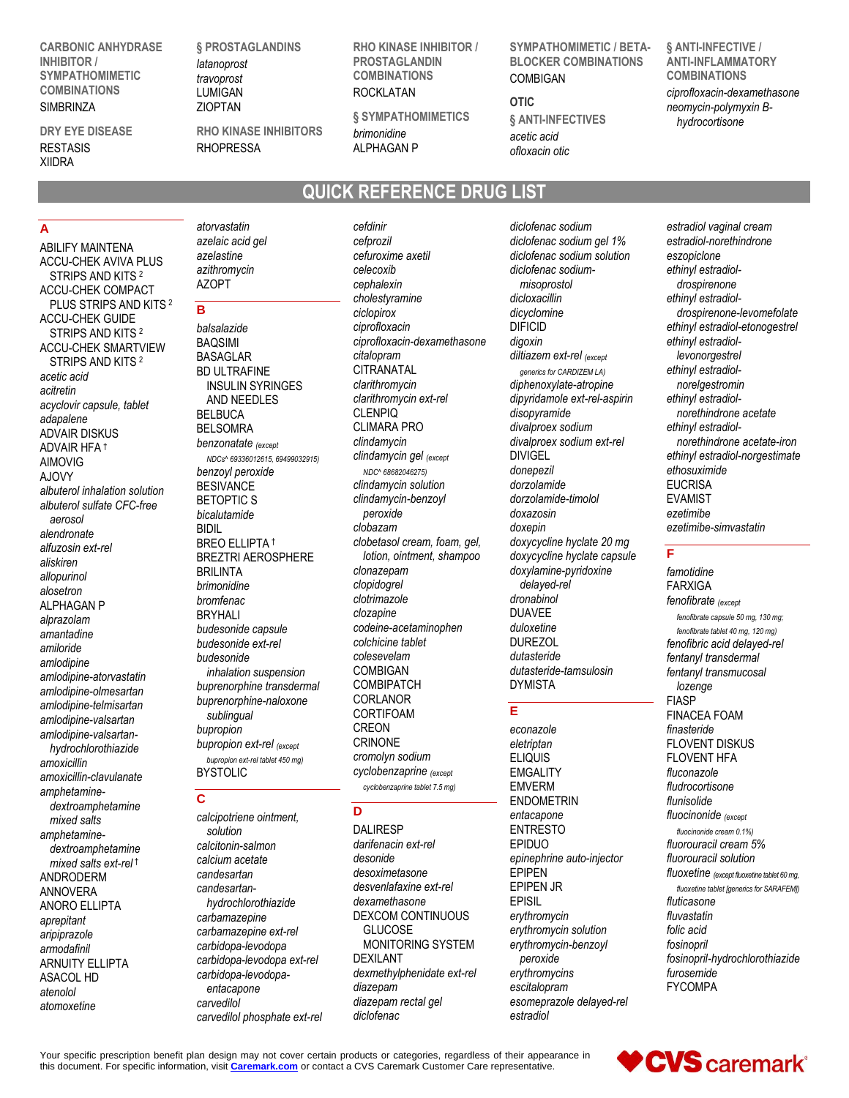**CARBONIC ANHYDRASE INHIBITOR / SYMPATHOMIMETIC COMBINATIONS SIMBRINZA** 

#### **DRY EYE DISEASE** RESTASIS XIIDRA

**§ PROSTAGLANDINS** *latanoprost travoprost* LUMIGAN

**RHO KINASE INHIBITORS** RHOPRESSA

**RHO KINASE INHIBITOR / PROSTAGLANDIN COMBINATIONS** ROCKLATAN

**§ SYMPATHOMIMETICS** *brimonidine* ALPHAGAN P

# **QUICK REFERENCE DRUG LIST**

# **A**

ABILIFY MAINTENA ACCU-CHEK AVIVA PLUS STRIPS AND KITS<sup>2</sup> ACCU-CHEK COMPACT PLUS STRIPS AND KITS <sup>2</sup> ACCU-CHEK GUIDE STRIPS AND KITS <sup>2</sup> ACCU-CHEK SMARTVIEW STRIPS AND KITS <sup>2</sup> *acetic acid acitretin acyclovir capsule, tablet adapalene* ADVAIR DISKUS ADVAIR HFA † AIMOVIG AJOVY *albuterol inhalation solution albuterol sulfate CFC-free aerosol alendronate alfuzosin ext-rel aliskiren allopurinol alosetron* ALPHAGAN P *alprazolam amantadine amiloride amlodipine amlodipine-atorvastatin amlodipine-olmesartan amlodipine-telmisartan amlodipine-valsartan amlodipine-valsartanhydrochlorothiazide amoxicillin amoxicillin-clavulanate amphetaminedextroamphetamine mixed salts amphetaminedextroamphetamine mixed salts ext-rel* † ANDRODERM ANNOVERA ANORO ELLIPTA *aprepitant aripiprazole armodafinil* ARNUITY ELLIPTA ASACOL HD *atenolol atomoxetine*

*atorvastatin azelaic acid gel azelastine azithromycin* AZOPT

# **B**

*balsalazide* BAQSIMI BASAGLAR BD ULTRAFINE INSULIN SYRINGES AND NEEDLES BELBUCA BELSOMRA *benzonatate (except NDCs^ 69336012615, 69499032915) benzoyl peroxide* BESIVANCE BETOPTIC S *bicalutamide* BIDIL BREO ELLIPTA † BREZTRI AEROSPHERE BRILINTA *brimonidine bromfenac* BRYHALI *budesonide capsule budesonide ext-rel budesonide inhalation suspension buprenorphine transdermal buprenorphine-naloxone sublingual bupropion bupropion ext-rel (except bupropion ext-rel tablet 450 mg)* BYSTOLIC

# **C**

*calcipotriene ointment, solution calcitonin-salmon calcium acetate candesartan candesartanhydrochlorothiazide carbamazepine carbamazepine ext-rel carbidopa-levodopa carbidopa-levodopa ext-rel carbidopa-levodopaentacapone carvedilol carvedilol phosphate ext-rel*

*cefdinir cefprozil cefuroxime axetil celecoxib cephalexin cholestyramine ciclopirox ciprofloxacin ciprofloxacin-dexamethasone citalopram* **CITRANATAL** *clarithromycin clarithromycin ext-rel* CLENPIQ CLIMARA PRO *clindamycin clindamycin gel (except NDC^ 68682046275) clindamycin solution clindamycin-benzoyl peroxide clobazam clobetasol cream, foam, gel, lotion, ointment, shampoo clonazepam clopidogrel clotrimazole clozapine codeine-acetaminophen colchicine tablet colesevelam* COMBIGAN **COMBIPATCH** CORLANOR CORTIFOAM CREON **CRINONE** *cromolyn sodium cyclobenzaprine (except cyclobenzaprine tablet 7.5 mg)*

# **D**

DALIRESP *darifenacin ext-rel desonide desoximetasone desvenlafaxine ext-rel dexamethasone* DEXCOM CONTINUOUS **GLUCOSE** MONITORING SYSTEM DEXILANT *dexmethylphenidate ext-rel diazepam diazepam rectal gel diclofenac*

*diclofenac sodium diclofenac sodium gel 1% diclofenac sodium solution diclofenac sodiummisoprostol dicloxacillin dicyclomine* DIFICID *digoxin diltiazem ext-rel (except generics for CARDIZEM LA) diphenoxylate-atropine dipyridamole ext-rel-aspirin disopyramide divalproex sodium divalproex sodium ext-rel* DIVIGEL *donepezil dorzolamide dorzolamide-timolol doxazosin doxepin doxycycline hyclate 20 mg doxycycline hyclate capsule doxylamine-pyridoxine delayed-rel dronabinol* DUAVEE *duloxetine* DUREZOL *dutasteride dutasteride-tamsulosin* DYMISTA

**SYMPATHOMIMETIC / BETA-BLOCKER COMBINATIONS**

COMBIGAN

*acetic acid ofloxacin otic*

**§ ANTI-INFECTIVES**

**OTIC**

# **E**

*econazole eletriptan* ELIQUIS **EMGALITY** EMVERM ENDOMETRIN *entacapone* ENTRESTO EPIDUO *epinephrine auto-injector* EPIPEN EPIPEN JR EPISIL *erythromycin erythromycin solution erythromycin-benzoyl peroxide erythromycins escitalopram esomeprazole delayed-rel estradiol*

**§ ANTI-INFECTIVE / ANTI-INFLAMMATORY COMBINATIONS** *ciprofloxacin-dexamethasone neomycin-polymyxin Bhydrocortisone*

*estradiol vaginal cream estradiol-norethindrone eszopiclone ethinyl estradioldrospirenone ethinyl estradioldrospirenone-levomefolate ethinyl estradiol-etonogestrel ethinyl estradiollevonorgestrel ethinyl estradiolnorelgestromin ethinyl estradiolnorethindrone acetate ethinyl estradiolnorethindrone acetate-iron ethinyl estradiol-norgestimate ethosuximide* EUCRISA EVAMIST *ezetimibe ezetimibe-simvastatin*

# **F**

*famotidine* FARXIGA *fenofibrate (except fenofibrate capsule 50 mg, 130 mg; fenofibrate tablet 40 mg, 120 mg) fenofibric acid delayed-rel fentanyl transdermal fentanyl transmucosal lozenge* FIASP FINACEA FOAM *finasteride* FLOVENT DISKUS FLOVENT HFA *fluconazole fludrocortisone flunisolide fluocinonide (except fluocinonide cream 0.1%) fluorouracil cream 5% fluorouracil solution fluoxetine (except fluoxetine tablet 60 mg, fluoxetine tablet [generics for SARAFEM]) fluticasone fluvastatin folic acid fosinopril fosinopril-hydrochlorothiazide furosemide* FYCOMPA

♥CVS caremark®

Your specific prescription benefit plan design may not cover certain products or categories, regardless of their appearance in this document. For specific information, visit **[Caremark.com](https://www.caremark.com/)** or contact a CVS Caremark Customer Care representative.

ZIOPTAN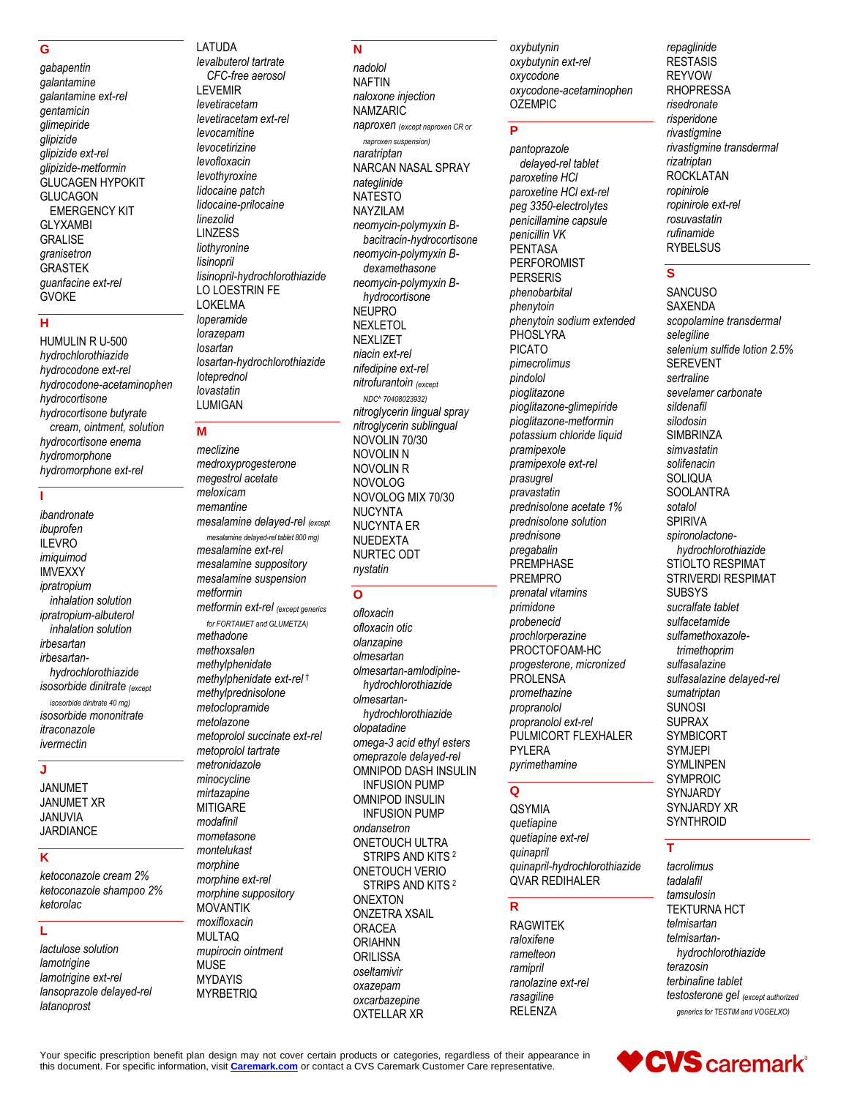# G

gabapentin galantamine galantamine ext-rel gentamicin glimepiride glipizide glipizide ext-rel glipizide-metformin GLUCAGEN HYPOKIT **GLUCAGON EMERGENCY KIT GLYXAMBI GRALISE** granisetron **GRASTEK** guanfacine ext-rel **GVOKE** 

# Ĥ

HUMULIN R U-500 hydrochlorothiazide hvdrocodone ext-rel hydrocodone-acetaminophen hydrocortisone hydrocortisone butyrate cream, ointment, solution hydrocortisone enema hydromorphone hydromorphone ext-rel

# Ï

ibandronate ibuprofen **ILEVRO** imiquimod **IMVEXXY** ipratropium inhalation solution ipratropium-albuterol inhalation solution irbesartan irbesartanhydrochlorothiazide isosorbide dinitrate (except isosorbide dinitrate 40 mg) isosorbide mononitrate itraconazole ivermectin

#### J

**JANUMET JANUMET XR JANUVIA JARDIANCE** 

# $\overline{\mathbf{K}}$

ketoconazole cream 2% ketoconazole shampoo 2% ketorolac

# Ĺ

lactulose solution lamotrigine lamotrigine ext-rel lansoprazole delayed-rel latanoprost

levalbuterol tartrate CFC-free aerosol **LEVEMIR** levetiracetam levetiracetam ext-rel levocarnitine levocetirizine levofloxacin levothyroxine lidocaine patch lidocaine-prilocaine linezolid **LINZESS** liothyronine lisinopril lisinopril-hydrochlorothiazide LO LOESTRIN FE **LOKELMA** loperamide lorazepam losartan losartan-hydrochlorothiazide loteprednol lovastatin **LUMIGAN** 

LATUDA

# M

meclizine medroxyprogesterone megestrol acetate meloxicam memantine mesalamine delayed-rel (except mesalamine delayed-rel tablet 800 mg) mesalamine ext-rel mesalamine suppository mesalamine suspension metformin metformin ext-rel (except generics for FORTAMET and GLUMETZA) methadone methoxsalen methylphenidate methylphenidate ext-rel<sup>t</sup> methylprednisolone metoclopramide metolazone metoprolol succinate ext-rel metoprolol tartrate metronidazole minocycline mirtazapine **MITIGARE** modafinil mometasone montelukast morphine morphine ext-rel morphine suppository **MOVANTIK** moxifloxacin **MULTAQ** mupirocin ointment **MUSE MYDAYIS MYRBETRIQ** 

# N

nadolol **NAFTIN** naloxone injection **NAMZARIC** naproxen (except naproxen CR or naproxen suspension) naratriptan NARCAN NASAL SPRAY nateglinide **NATESTO NAYZILAM** neomycin-polymyxin Bbacitracin-hydrocortisone neomycin-polymyxin Bdexamethasone neomycin-polymyxin Bhydrocortisone **NEUPRO NEXLETOL NEXLIZET** niacin ext-rel nifedipine ext-rel nitrofurantoin (except NDC^ 70408023932) nitroglycerin lingual spray nitroglycerin sublingual NOVOLIN 70/30 **NOVOLIN N NOVOLIN R NOVOLOG** NOVOLOG MIX 70/30 **NUCYNTA NUCYNTA ER NUEDEXTA** NURTEC ODT nystatin

# $\Omega$

ofloxacin ofloxacin otic olanzapine olmesartan olmesartan-amlodipinehydrochlorothiazide olmesartanhydrochlorothiazide olopatadine omega-3 acid ethyl esters omeprazole delayed-rel OMNIPOD DASH INSULIN **INFUSION PUMP OMNIPOD INSULIN INFUSION PUMP** ondansetron **ONETOUCH ULTRA** STRIPS AND KITS<sup>2</sup> ONETOUCH VERIO STRIPS AND KITS<sup>2</sup> **ONEXTON ONZETRA XSAIL ORACEA ORIAHNN ORILISSA** oseltamivir oxazepam oxcarbazepine **OXTELLAR XR** 

oxybutynin oxybutynin ext-rel oxycodone oxycodone-acetaminophen **OZEMPIC** 

#### $\overline{\mathsf{P}}$

pantoprazole delayed-rel tablet paroxetine HCI paroxetine HCI ext-rel peg 3350-electrolytes penicillamine capsule penicillin VK **PENTASA** PERFOROMIST **PERSERIS** phenobarbital phenytoin phenytoin sodium extended PHOSLYRA **PICATO** pimecrolimus pindolol pioglitazone pioglitazone-glimepiride pioglitazone-metformin potassium chloride liquid pramipexole pramipexole ext-rel prasugrel pravastatin prednisolone acetate 1% prednisolone solution prednisone pregabalin PREMPHASE **PREMPRO** prenatal vitamins primidone probenecid prochlorperazine PROCTOFOAM-HC progesterone, micronized PROLENSA promethazine propranolol propranolol ext-rel PULMICORT FLEXHALER **PYLERA** pyrimethamine

#### $\Omega$

**QSYMIA** quetiapine quetiapine ext-rel quinapril quinapril-hydrochlorothiazide OVAR REDIHALER

#### $\overline{R}$

**RAGWITEK** raloxifene ramelteon ramipril ranolazine ext-rel rasagiline **RELENZA** 

repaglinide **RESTASIS REYVOW RHOPRESSA** risedronate risperidone rivastiamine rivastigmine transdermal rizatriptan **ROCKLATAN** ropinirole ropinirole ext-rel rosuvastatin rufinamide **RYBELSUS** 

# S

SANCUSO **SAXENDA** scopolamine transdermal selegiline selenium sulfide lotion 2.5% **SFREVENT** sertraline sevelamer carbonate sildenafil silodosin **SIMBRINZA** simvastatin solifenacin **SOLIQUA SOOLANTRA** sotalol **SPIRIVA** spironolactonehydrochlorothiazide STIOLTO RESPIMAT STRIVERDI RESPIMAT **SUBSYS** sucralfate tablet sulfacetamide sulfamethoxazoletrimethoprim sulfasalazine sulfasalazine delayed-rel sumatriptan **SUNOSI SUPRAX SYMBICORT SYMJEPI SYMLINPEN SYMPROIC** SYNJARDY SYNJARDY XR SYNTHROID

# $\mathbf \tau$

tacrolimus tadalafil tamsulosin **TEKTURNA HCT** telmisartan telmisartanhydrochlorothiazide terazosin terbinafine tablet testosterone gel (except authorized generics for TESTIM and VOGELXO)

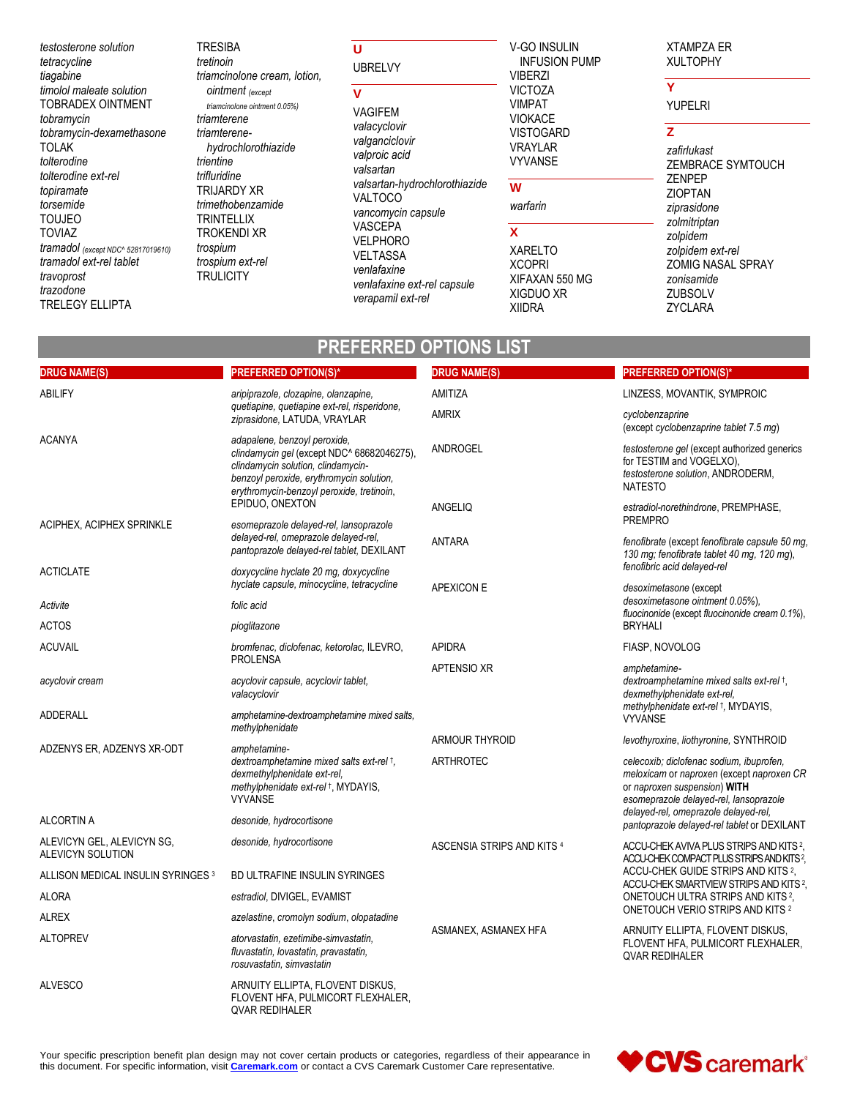testosterone solution tetracycline tiagabine timolol maleate solution TOBRADEX OINTMENT tobramycin tobramycin-dexamethasone **TOLAK** tolterodine tolterodine ext-rel topiramate torsemide **TOUJEO TOVIAZ** tramadol (except NDC^ 52817019610) tramadol ext-rel tablet travoprost trazodone **TRELEGY ELLIPTA** 

**TRESIBA** tretinoin triamcinolone cream, lotion, **ointment** (except triamcinolone ointment 0.05%) triamterene triamterenehydrochlorothiazide trientine trifluridine **TRIJARDY XR** trimethobenzamide **TRINTELLIX TROKENDI XR** trospium trospium ext-rel **TRULICITY** 

 $\mathbf{U}$ **UBRELVY** 

# $\overline{\mathsf{v}}$

VAGIFEM valacyclovir valganciclovir valproic acid valsartan valsartan-hydrochlorothiazide VALTOCO vancomycin capsule **VASCEPA VELPHORO VELTASSA** venlafaxine venlafaxine ext-rel capsule verapamil ext-rel

**PREFERRED OPTIONS LIST** 

#### V-GO INSULIN **INFUSION PUMP VIBERZI VICTOZA VIMPAT VIOKACE VISTOGARD VRAYLAR VYVANSE**

# W

warfarin

# $\mathbf{x}$

**XARELTO XCOPRI** XIFAXAN 550 MG XIGDUO XR **XIIDRA** 

#### **XTAMPZA ER XULTOPHY**

# $\overline{\mathbf{v}}$

**YUPELRI** 

# $\overline{z}$

zafirlukast ZEMBRACE SYMTOUCH **ZENPEP ZIOPTAN** ziprasidone zolmitriptan zolpidem zolpidem ext-rel ZOMIG NASAL SPRAY zonisamide ZUBSOLV **ZYCLARA** 

| <b>DRUG NAME(S)</b>                             | <b>PREFERRED OPTION(S)*</b>                                                                                                                                                                               | <b>DRUG NAME(S)</b>        | <b>PREFERRED OPTION(S)*</b>                                                                                                                                     |
|-------------------------------------------------|-----------------------------------------------------------------------------------------------------------------------------------------------------------------------------------------------------------|----------------------------|-----------------------------------------------------------------------------------------------------------------------------------------------------------------|
| <b>ABILIFY</b>                                  | aripiprazole, clozapine, olanzapine,<br>quetiapine, quetiapine ext-rel, risperidone,<br>ziprasidone, LATUDA, VRAYLAR                                                                                      | AMITIZA                    | LINZESS, MOVANTIK, SYMPROIC                                                                                                                                     |
|                                                 |                                                                                                                                                                                                           | <b>AMRIX</b>               | cyclobenzaprine<br>(except cyclobenzaprine tablet 7.5 mg)                                                                                                       |
| <b>ACANYA</b>                                   | adapalene, benzoyl peroxide,<br>clindamycin gel (except NDC^ 68682046275),<br>clindamycin solution, clindamycin-<br>benzoyl peroxide, erythromycin solution,<br>erythromycin-benzoyl peroxide, tretinoin, | ANDROGEL                   | testosterone gel (except authorized generics<br>for TESTIM and VOGELXO),<br>testosterone solution, ANDRODERM,<br><b>NATESTO</b>                                 |
|                                                 | EPIDUO, ONEXTON                                                                                                                                                                                           | ANGELIQ                    | estradiol-norethindrone, PREMPHASE,                                                                                                                             |
| ACIPHEX, ACIPHEX SPRINKLE                       | esomeprazole delayed-rel, lansoprazole<br>delayed-rel, omeprazole delayed-rel,<br>pantoprazole delayed-rel tablet, DEXILANT                                                                               | ANTARA                     | <b>PREMPRO</b><br>fenofibrate (except fenofibrate capsule 50 mg<br>130 mg; fenofibrate tablet 40 mg, 120 mg),                                                   |
| <b>ACTICLATE</b>                                | doxycycline hyclate 20 mg, doxycycline                                                                                                                                                                    |                            | fenofibric acid delayed-rel                                                                                                                                     |
|                                                 | hyclate capsule, minocycline, tetracycline                                                                                                                                                                | <b>APEXICON E</b>          | desoximetasone (except<br>desoximetasone ointment 0.05%).                                                                                                       |
| Activite<br><b>ACTOS</b>                        | folic acid<br>pioglitazone                                                                                                                                                                                |                            | fluocinonide (except fluocinonide cream 0.1%),<br><b>BRYHALI</b>                                                                                                |
| <b>ACUVAIL</b>                                  | bromfenac, diclofenac, ketorolac, ILEVRO,                                                                                                                                                                 | <b>APIDRA</b>              | FIASP, NOVOLOG                                                                                                                                                  |
|                                                 | <b>PROLENSA</b>                                                                                                                                                                                           | <b>APTENSIO XR</b>         | amphetamine-                                                                                                                                                    |
| acyclovir cream                                 | acyclovir capsule, acyclovir tablet,<br>valacyclovir                                                                                                                                                      |                            | dextroamphetamine mixed salts ext-rel +,<br>dexmethylphenidate ext-rel,<br>methylphenidate ext-rel +, MYDAYIS,                                                  |
| <b>ADDERALL</b>                                 | amphetamine-dextroamphetamine mixed salts,<br>methylphenidate                                                                                                                                             |                            | <b>VYVANSE</b>                                                                                                                                                  |
| ADZENYS ER, ADZENYS XR-ODT                      | amphetamine-                                                                                                                                                                                              | <b>ARMOUR THYROID</b>      | levothyroxine, liothyronine, SYNTHROID                                                                                                                          |
|                                                 | dextroamphetamine mixed salts ext-rel +,<br>dexmethylphenidate ext-rel.<br>methylphenidate ext-rel +, MYDAYIS,<br><b>VYVANSE</b>                                                                          | <b>ARTHROTEC</b>           | celecoxib; diclofenac sodium, ibuprofen,<br>meloxicam or naproxen (except naproxen CR<br>or naproxen suspension) WITH<br>esomeprazole delayed-rel, lansoprazole |
| <b>ALCORTIN A</b>                               | desonide, hydrocortisone                                                                                                                                                                                  |                            | delayed-rel, omeprazole delayed-rel,<br>pantoprazole delayed-rel tablet or DEXILANT                                                                             |
| ALEVICYN GEL, ALEVICYN SG,<br>ALEVICYN SOLUTION | desonide, hydrocortisone                                                                                                                                                                                  | ASCENSIA STRIPS AND KITS 4 | ACCU-CHEK AVIVA PLUS STRIPS AND KITS <sup>2</sup><br>ACCU-CHEK COMPACT PLUS STRIPS AND KITS?                                                                    |
| ALLISON MEDICAL INSULIN SYRINGES 3              | <b>BD ULTRAFINE INSULIN SYRINGES</b>                                                                                                                                                                      |                            | ACCU-CHEK GUIDE STRIPS AND KITS 2,<br>ACCU-CHEK SMARTVIEW STRIPS AND KITS 2.                                                                                    |
| ALORA                                           | estradiol, DIVIGEL, EVAMIST                                                                                                                                                                               |                            | ONETOUCH ULTRA STRIPS AND KITS <sup>2</sup> ,                                                                                                                   |
| ALREX                                           | azelastine, cromolyn sodium, olopatadine                                                                                                                                                                  |                            | ONETOUCH VERIO STRIPS AND KITS 2                                                                                                                                |
| <b>ALTOPREV</b>                                 | atorvastatin, ezetimibe-simvastatin,<br>fluvastatin, lovastatin, pravastatin,<br>rosuvastatin, simvastatin                                                                                                | ASMANEX, ASMANEX HFA       | ARNUITY ELLIPTA, FLOVENT DISKUS,<br>FLOVENT HFA, PULMICORT FLEXHALER,<br><b>QVAR REDIHALER</b>                                                                  |
| <b>ALVESCO</b>                                  | ARNUITY ELLIPTA, FLOVENT DISKUS,<br>FLOVENT HFA, PULMICORT FLEXHALER,<br>OVAR REDIHALER                                                                                                                   |                            |                                                                                                                                                                 |



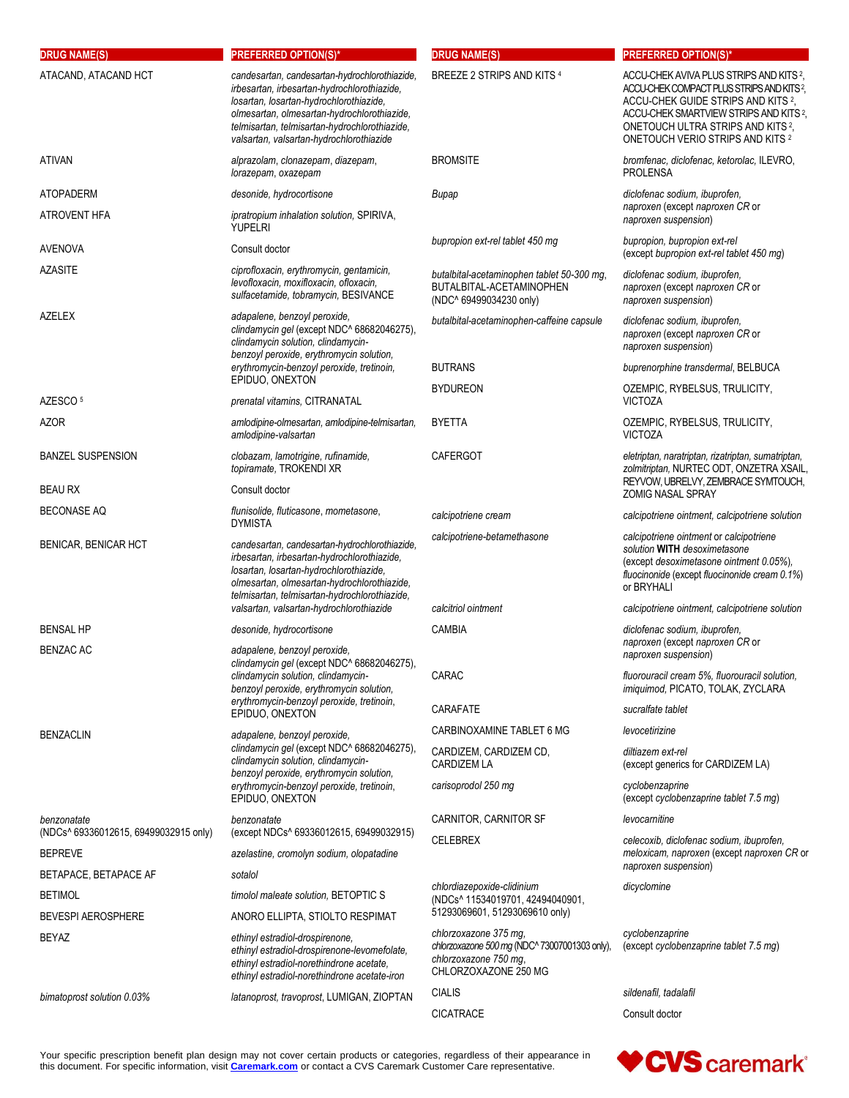| <b>DRUG NAME(S)</b>                                     | <b>PREFERRED OPTION(S)*</b>                                                                                                                                                                                                                                                         | <b>DRUG NAME(S)</b>                                                                                                     | <b>PREFERRED OPTION(S)*</b>                                                                                                                                                                                                                                                                  |
|---------------------------------------------------------|-------------------------------------------------------------------------------------------------------------------------------------------------------------------------------------------------------------------------------------------------------------------------------------|-------------------------------------------------------------------------------------------------------------------------|----------------------------------------------------------------------------------------------------------------------------------------------------------------------------------------------------------------------------------------------------------------------------------------------|
| ATACAND, ATACAND HCT                                    | candesartan, candesartan-hydrochlorothiazide,<br>irbesartan, irbesartan-hydrochlorothiazide,<br>losartan, losartan-hydrochlorothiazide,<br>olmesartan, olmesartan-hydrochlorothiazide,<br>telmisartan, telmisartan-hydrochlorothiazide,<br>valsartan, valsartan-hydrochlorothiazide | BREEZE 2 STRIPS AND KITS 4                                                                                              | ACCU-CHEK AVIVA PLUS STRIPS AND KITS 2,<br>ACCU-CHEK COMPACT PLUS STRIPS AND KITS <sup>2</sup> ,<br>ACCU-CHEK GUIDE STRIPS AND KITS 2,<br>ACCU-CHEK SMARTVIEW STRIPS AND KITS <sup>2</sup> ,<br>ONETOUCH ULTRA STRIPS AND KITS <sup>2</sup> ,<br>ONETOUCH VERIO STRIPS AND KITS <sup>2</sup> |
| ATIVAN                                                  | alprazolam, clonazepam, diazepam,<br>lorazepam, oxazepam                                                                                                                                                                                                                            | <b>BROMSITE</b>                                                                                                         | bromfenac, diclofenac, ketorolac, ILEVRO,<br><b>PROLENSA</b>                                                                                                                                                                                                                                 |
| <b>ATOPADERM</b>                                        | desonide, hydrocortisone                                                                                                                                                                                                                                                            | Bupap                                                                                                                   | diclofenac sodium, ibuprofen,                                                                                                                                                                                                                                                                |
| ATROVENT HFA                                            | <i>ipratropium inhalation solution</i> , SPIRIVA,<br><b>YUPELRI</b>                                                                                                                                                                                                                 |                                                                                                                         | naproxen (except naproxen CR or<br>naproxen suspension)                                                                                                                                                                                                                                      |
| <b>AVENOVA</b>                                          | Consult doctor                                                                                                                                                                                                                                                                      | bupropion ext-rel tablet 450 mg                                                                                         | bupropion, bupropion ext-rel<br>(except bupropion ext-rel tablet 450 mg)                                                                                                                                                                                                                     |
| <b>AZASITE</b>                                          | ciprofloxacin, erythromycin, gentamicin,<br>levofloxacin, moxifloxacin, ofloxacin,<br>sulfacetamide, tobramycin, BESIVANCE                                                                                                                                                          | butalbital-acetaminophen tablet 50-300 mg,<br>BUTALBITAL-ACETAMINOPHEN<br>(NDC^ 69499034230 only)                       | diclofenac sodium, ibuprofen,<br>naproxen (except naproxen CR or<br>naproxen suspension)                                                                                                                                                                                                     |
| <b>AZELEX</b>                                           | adapalene, benzoyl peroxide,<br>clindamycin gel (except NDC^ 68682046275),<br>clindamycin solution, clindamycin-<br>benzoyl peroxide, erythromycin solution,                                                                                                                        | butalbital-acetaminophen-caffeine capsule                                                                               | diclofenac sodium, ibuprofen,<br>naproxen (except naproxen CR or<br>naproxen suspension)                                                                                                                                                                                                     |
|                                                         | erythromycin-benzoyl peroxide, tretinoin,                                                                                                                                                                                                                                           | <b>BUTRANS</b>                                                                                                          | buprenorphine transdermal, BELBUCA                                                                                                                                                                                                                                                           |
| AZESCO <sup>5</sup>                                     | EPIDUO, ONEXTON<br>prenatal vitamins, CITRANATAL                                                                                                                                                                                                                                    | <b>BYDUREON</b>                                                                                                         | OZEMPIC, RYBELSUS, TRULICITY,<br><b>VICTOZA</b>                                                                                                                                                                                                                                              |
| AZOR                                                    | amlodipine-olmesartan, amlodipine-telmisartan,<br>amlodipine-valsartan                                                                                                                                                                                                              | <b>BYETTA</b>                                                                                                           | OZEMPIC, RYBELSUS, TRULICITY,<br><b>VICTOZA</b>                                                                                                                                                                                                                                              |
| <b>BANZEL SUSPENSION</b>                                | clobazam, lamotrigine, rufinamide,<br>topiramate, TROKENDI XR                                                                                                                                                                                                                       | <b>CAFERGOT</b>                                                                                                         | eletriptan, naratriptan, rizatriptan, sumatriptan,<br>zolmitriptan, NURTEC ODT, ONZETRA XSAIL,                                                                                                                                                                                               |
| <b>BEAU RX</b>                                          | Consult doctor                                                                                                                                                                                                                                                                      |                                                                                                                         | REYVOW, UBRELVY, ZEMBRACE SYMTOUCH,<br><b>ZOMIG NASAL SPRAY</b>                                                                                                                                                                                                                              |
| <b>BECONASE AQ</b>                                      | flunisolide, fluticasone, mometasone,<br><b>DYMISTA</b>                                                                                                                                                                                                                             | calcipotriene cream                                                                                                     | calcipotriene ointment, calcipotriene solution                                                                                                                                                                                                                                               |
| BENICAR, BENICAR HCT                                    | candesartan, candesartan-hydrochlorothiazide,<br>irbesartan, irbesartan-hydrochlorothiazide,<br>losartan, losartan-hydrochlorothiazide,<br>olmesartan, olmesartan-hydrochlorothiazide,<br>telmisartan, telmisartan-hydrochlorothiazide,                                             | calcipotriene-betamethasone                                                                                             | calcipotriene ointment or calcipotriene<br>solution WITH desoximetasone<br>(except desoximetasone ointment 0.05%),<br>fluocinonide (except fluocinonide cream 0.1%)<br>or BRYHALI                                                                                                            |
|                                                         | valsartan, valsartan-hydrochlorothiazide                                                                                                                                                                                                                                            | calcitriol ointment                                                                                                     | calcipotriene ointment, calcipotriene solution                                                                                                                                                                                                                                               |
| <b>BENSAL HP</b>                                        | desonide, hydrocortisone                                                                                                                                                                                                                                                            | CAMBIA                                                                                                                  | diclofenac sodium, ibuprofen,                                                                                                                                                                                                                                                                |
| <b>BENZAC AC</b>                                        | adapalene, benzoyl peroxide,<br>clindamycin gel (except NDC^ 68682046275),<br>clindamycin solution, clindamycin-<br>benzoyl peroxide, erythromycin solution,<br>erythromycin-benzoyl peroxide, tretinoin,<br>EPIDUO, ONEXTON                                                        |                                                                                                                         | naproxen (except naproxen CR or<br>naproxen suspension)                                                                                                                                                                                                                                      |
|                                                         |                                                                                                                                                                                                                                                                                     | CARAC                                                                                                                   | fluorouracil cream 5%, fluorouracil solution,<br>imiquimod, PICATO, TOLAK, ZYCLARA                                                                                                                                                                                                           |
|                                                         |                                                                                                                                                                                                                                                                                     | CARAFATE                                                                                                                | sucralfate tablet                                                                                                                                                                                                                                                                            |
| <b>BENZACLIN</b>                                        | adapalene, benzoyl peroxide,                                                                                                                                                                                                                                                        | CARBINOXAMINE TABLET 6 MG                                                                                               | levocetirizine                                                                                                                                                                                                                                                                               |
|                                                         | clindamycin gel (except NDC^ 68682046275),<br>clindamycin solution, clindamycin-<br>benzoyl peroxide, erythromycin solution,<br>erythromycin-benzoyl peroxide, tretinoin,<br>EPIDUO, ONEXTON                                                                                        | CARDIZEM, CARDIZEM CD,<br><b>CARDIZEM LA</b>                                                                            | diltiazem ext-rel<br>(except generics for CARDIZEM LA)                                                                                                                                                                                                                                       |
|                                                         |                                                                                                                                                                                                                                                                                     | carisoprodol 250 mg                                                                                                     | cyclobenzaprine<br>(except cyclobenzaprine tablet 7.5 mg)                                                                                                                                                                                                                                    |
| benzonatate                                             | benzonatate                                                                                                                                                                                                                                                                         | CARNITOR, CARNITOR SF                                                                                                   | levocarnitine                                                                                                                                                                                                                                                                                |
| (NDCs^ 69336012615, 69499032915 only)<br><b>BEPREVE</b> | (except NDCs^ 69336012615, 69499032915)<br>azelastine, cromolyn sodium, olopatadine                                                                                                                                                                                                 | <b>CELEBREX</b>                                                                                                         | celecoxib, diclofenac sodium, ibuprofen,<br>meloxicam, naproxen (except naproxen CR or                                                                                                                                                                                                       |
| BETAPACE, BETAPACE AF                                   | sotalol                                                                                                                                                                                                                                                                             |                                                                                                                         | naproxen suspension)                                                                                                                                                                                                                                                                         |
| BETIMOL                                                 | timolol maleate solution, BETOPTIC S                                                                                                                                                                                                                                                | chlordiazepoxide-clidinium<br>(NDCs^ 11534019701, 42494040901,                                                          | dicyclomine                                                                                                                                                                                                                                                                                  |
| BEVESPI AEROSPHERE                                      | ANORO ELLIPTA, STIOLTO RESPIMAT                                                                                                                                                                                                                                                     | 51293069601, 51293069610 only)                                                                                          |                                                                                                                                                                                                                                                                                              |
| BEYAZ                                                   | ethinyl estradiol-drospirenone,<br>ethinyl estradiol-drospirenone-levomefolate,<br>ethinyl estradiol-norethindrone acetate,<br>ethinyl estradiol-norethindrone acetate-iron                                                                                                         | chlorzoxazone 375 mg,<br>chlorzoxazone 500 mg (NDC^ 73007001303 only),<br>chlorzoxazone 750 mg,<br>CHLORZOXAZONE 250 MG | cyclobenzaprine<br>(except cyclobenzaprine tablet 7.5 mg)                                                                                                                                                                                                                                    |
| bimatoprost solution 0.03%                              | latanoprost, travoprost, LUMIGAN, ZIOPTAN                                                                                                                                                                                                                                           | <b>CIALIS</b>                                                                                                           | sildenafil, tadalafil                                                                                                                                                                                                                                                                        |
|                                                         |                                                                                                                                                                                                                                                                                     | <b>CICATRACE</b>                                                                                                        | Consult doctor                                                                                                                                                                                                                                                                               |

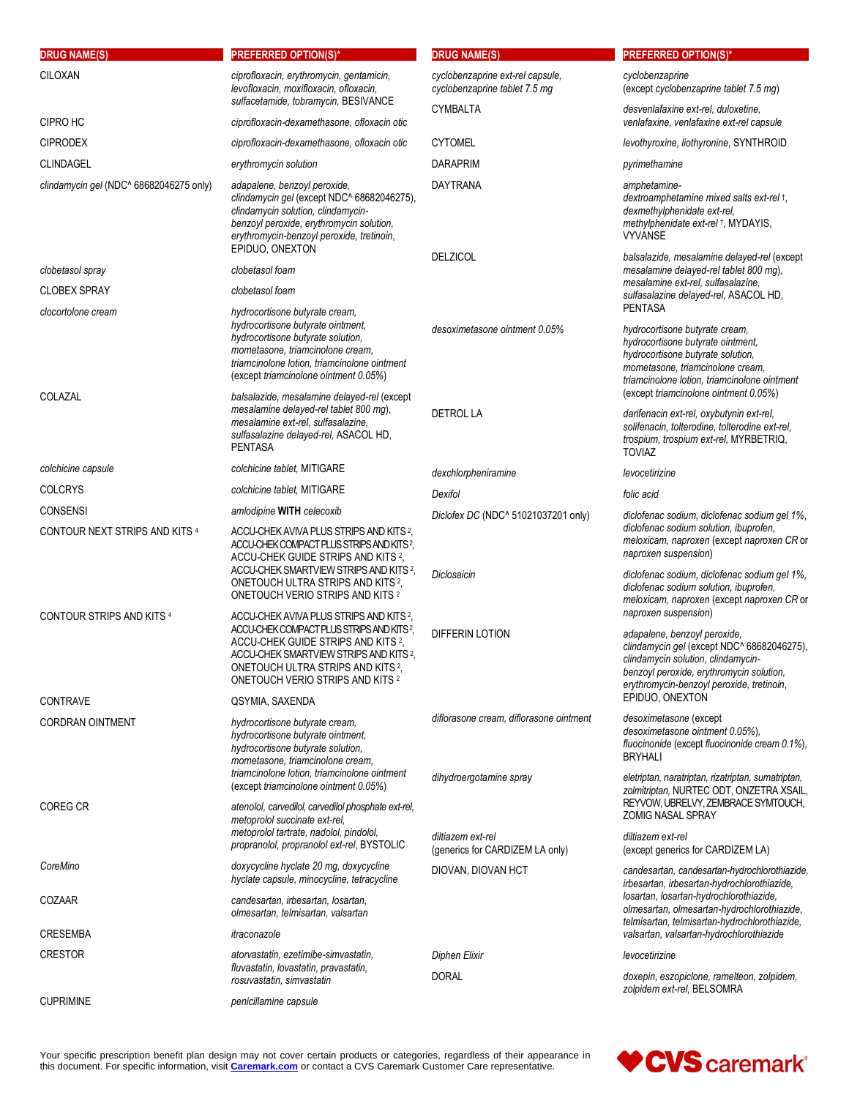| <b>DRUG NAME(S)</b>                     | <b>PREFERRED OPTION(S)*</b>                                                                                                                                                                                                                                                                   | <b>DRUG NAME(S)</b>                                               | <b>PREFERRED OPTION(S)*</b>                                                                                                                                                                                                                          |
|-----------------------------------------|-----------------------------------------------------------------------------------------------------------------------------------------------------------------------------------------------------------------------------------------------------------------------------------------------|-------------------------------------------------------------------|------------------------------------------------------------------------------------------------------------------------------------------------------------------------------------------------------------------------------------------------------|
| CILOXAN                                 | ciprofloxacin, erythromycin, gentamicin,<br>levofloxacin, moxifloxacin, ofloxacin,<br>sulfacetamide, tobramycin, BESIVANCE                                                                                                                                                                    | cyclobenzaprine ext-rel capsule,<br>cyclobenzaprine tablet 7.5 mg | cyclobenzaprine<br>(except cyclobenzaprine tablet 7.5 mg)                                                                                                                                                                                            |
| CIPRO HC                                | ciprofloxacin-dexamethasone, ofloxacin otic                                                                                                                                                                                                                                                   | <b>CYMBALTA</b>                                                   | desvenlafaxine ext-rel, duloxetine,<br>venlafaxine, venlafaxine ext-rel capsule                                                                                                                                                                      |
| <b>CIPRODEX</b>                         | ciprofloxacin-dexamethasone, ofloxacin otic                                                                                                                                                                                                                                                   | <b>CYTOMEL</b>                                                    | levothyroxine, liothyronine, SYNTHROID                                                                                                                                                                                                               |
| <b>CLINDAGEL</b>                        | erythromycin solution                                                                                                                                                                                                                                                                         | <b>DARAPRIM</b>                                                   | pyrimethamine                                                                                                                                                                                                                                        |
| clindamycin gel (NDC^ 68682046275 only) | adapalene, benzoyl peroxide,<br>clindamycin gel (except NDC^ 68682046275),<br>clindamycin solution, clindamycin-<br>benzoyl peroxide, erythromycin solution,<br>erythromycin-benzoyl peroxide, tretinoin,<br>EPIDUO, ONEXTON                                                                  | <b>DAYTRANA</b>                                                   | amphetamine-<br>dextroamphetamine mixed salts ext-rel +,<br>dexmethylphenidate ext-rel,<br>methylphenidate ext-rel +, MYDAYIS,<br><b>VYVANSE</b>                                                                                                     |
| clobetasol spray                        | clobetasol foam                                                                                                                                                                                                                                                                               | <b>DELZICOL</b>                                                   | balsalazide, mesalamine delayed-rel (except<br>mesalamine delayed-rel tablet 800 mg),                                                                                                                                                                |
| <b>CLOBEX SPRAY</b>                     | clobetasol foam                                                                                                                                                                                                                                                                               |                                                                   | mesalamine ext-rel, sulfasalazine,                                                                                                                                                                                                                   |
| clocortolone cream                      | hydrocortisone butyrate cream.                                                                                                                                                                                                                                                                |                                                                   | sulfasalazine delayed-rel, ASACOL HD,<br><b>PENTASA</b>                                                                                                                                                                                              |
| COLAZAL                                 | hydrocortisone butyrate ointment,<br>hydrocortisone butyrate solution.<br>mometasone, triamcinolone cream,<br>triamcinolone lotion, triamcinolone ointment<br>(except triamcinolone ointment 0.05%)<br>balsalazide, mesalamine delayed-rel (except                                            | desoximetasone ointment 0.05%                                     | hydrocortisone butyrate cream,<br>hydrocortisone butyrate ointment,<br>hydrocortisone butyrate solution.<br>mometasone, triamcinolone cream,<br>triamcinolone lotion, triamcinolone ointment<br>(except triamcinolone ointment 0.05%)                |
|                                         | mesalamine delayed-rel tablet 800 mg),<br>mesalamine ext-rel, sulfasalazine,<br>sulfasalazine delayed-rel, ASACOL HD,<br><b>PENTASA</b>                                                                                                                                                       | <b>DETROL LA</b>                                                  | darifenacin ext-rel, oxybutynin ext-rel,<br>solifenacin, tolterodine, tolterodine ext-rel,<br>trospium, trospium ext-rel, MYRBETRIQ,<br><b>TOVIAZ</b>                                                                                                |
| colchicine capsule                      | colchicine tablet, MITIGARE                                                                                                                                                                                                                                                                   | dexchlorpheniramine                                               | levocetirizine                                                                                                                                                                                                                                       |
| <b>COLCRYS</b>                          | colchicine tablet, MITIGARE                                                                                                                                                                                                                                                                   | Dexifol                                                           | folic acid                                                                                                                                                                                                                                           |
| <b>CONSENSI</b>                         | amlodipine WITH celecoxib                                                                                                                                                                                                                                                                     | Diclofex DC (NDC^ 51021037201 only)                               | diclofenac sodium, diclofenac sodium gel 1%,                                                                                                                                                                                                         |
| CONTOUR NEXT STRIPS AND KITS 4          | ACCU-CHEK AVIVA PLUS STRIPS AND KITS <sup>2</sup> ,<br>ACCU-CHEK COMPACT PLUS STRIPS AND KITS <sup>2</sup> ,<br>ACCU-CHEK GUIDE STRIPS AND KITS <sup>2</sup> ,<br>ACCU-CHEK SMARTVIEW STRIPS AND KITS 2,<br>ONETOUCH ULTRA STRIPS AND KITS <sup>2</sup> ,<br>ONETOUCH VERIO STRIPS AND KITS 2 | Diclosaicin                                                       | diclofenac sodium solution, ibuprofen,<br>meloxicam, naproxen (except naproxen CR or<br>naproxen suspension)<br>diclofenac sodium, diclofenac sodium gel 1%,<br>diclofenac sodium solution, ibuprofen,<br>meloxicam, naproxen (except naproxen CR or |
| <b>CONTOUR STRIPS AND KITS 4</b>        | ACCU-CHEK AVIVA PLUS STRIPS AND KITS 2.<br>ACCU-CHEK COMPACT PLUS STRIPS AND KITS?,<br>ACCU-CHEK GUIDE STRIPS AND KITS 2,<br>ACCU-CHEK SMARTVIEW STRIPS AND KITS 2,<br>ONETOUCH ULTRA STRIPS AND KITS <sup>2</sup> ,<br><b>ONETOUCH VERIO STRIPS AND KITS 2</b>                               | <b>DIFFERIN LOTION</b>                                            | naproxen suspension)<br>adapalene, benzoyl peroxide,<br>clindamycin gel (except NDC^ 68682046275),<br>clindamycin solution, clindamycin-<br>benzoyl peroxide, erythromycin solution,<br>erythromycin-benzoyl peroxide, tretinoin,                    |
| <b>CONTRAVE</b>                         | QSYMIA, SAXENDA                                                                                                                                                                                                                                                                               |                                                                   | EPIDUO, ONEXTON                                                                                                                                                                                                                                      |
| <b>CORDRAN OINTMENT</b>                 | hydrocortisone butyrate cream.<br>hydrocortisone butyrate ointment,<br>hydrocortisone butyrate solution,<br>mometasone, triamcinolone cream,<br>triamcinolone lotion, triamcinolone ointment                                                                                                  | diflorasone cream, diflorasone ointment                           | desoximetasone (except<br>desoximetasone ointment 0.05%),<br>fluocinonide (except fluocinonide cream 0.1%),<br><b>BRYHALI</b>                                                                                                                        |
| <b>COREG CR</b>                         | (except triamcinolone ointment 0.05%)<br>atenolol, carvedilol, carvedilol phosphate ext-rel,<br>metoprolol succinate ext-rel,                                                                                                                                                                 | dihydroergotamine spray                                           | eletriptan, naratriptan, rizatriptan, sumatriptan,<br>zolmitriptan, NURTEC ODT, ONZETRA XSAIL,<br>REYVOW, UBRELVY, ZEMBRACE SYMTOUCH,<br><b>ZOMIG NASAL SPRAY</b>                                                                                    |
|                                         | metoprolol tartrate, nadolol, pindolol,<br>propranolol, propranolol ext-rel, BYSTOLIC                                                                                                                                                                                                         | diltiazem ext-rel<br>(generics for CARDIZEM LA only)              | diltiazem ext-rel<br>(except generics for CARDIZEM LA)                                                                                                                                                                                               |
| CoreMino                                | doxycycline hyclate 20 mg, doxycycline<br>hyclate capsule, minocycline, tetracycline                                                                                                                                                                                                          | DIOVAN, DIOVAN HCT                                                | candesartan, candesartan-hydrochlorothiazide,<br>irbesartan, irbesartan-hydrochlorothiazide,                                                                                                                                                         |
| COZAAR                                  | candesartan, irbesartan, losartan,<br>olmesartan, telmisartan, valsartan                                                                                                                                                                                                                      |                                                                   | losartan, losartan-hydrochlorothiazide,<br>olmesartan, olmesartan-hydrochlorothiazide,<br>telmisartan, telmisartan-hydrochlorothiazide,                                                                                                              |
| <b>CRESEMBA</b>                         | itraconazole                                                                                                                                                                                                                                                                                  |                                                                   | valsartan, valsartan-hydrochlorothiazide                                                                                                                                                                                                             |
| <b>CRESTOR</b>                          | atorvastatin, ezetimibe-simvastatin,<br>fluvastatin, lovastatin, pravastatin,<br>rosuvastatin, simvastatin                                                                                                                                                                                    | Diphen Elixir<br><b>DORAL</b>                                     | levocetirizine<br>doxepin, eszopiclone, ramelteon, zolpidem,                                                                                                                                                                                         |
| <b>CUPRIMINE</b>                        | penicillamine capsule                                                                                                                                                                                                                                                                         |                                                                   | zolpidem ext-rel, BELSOMRA                                                                                                                                                                                                                           |

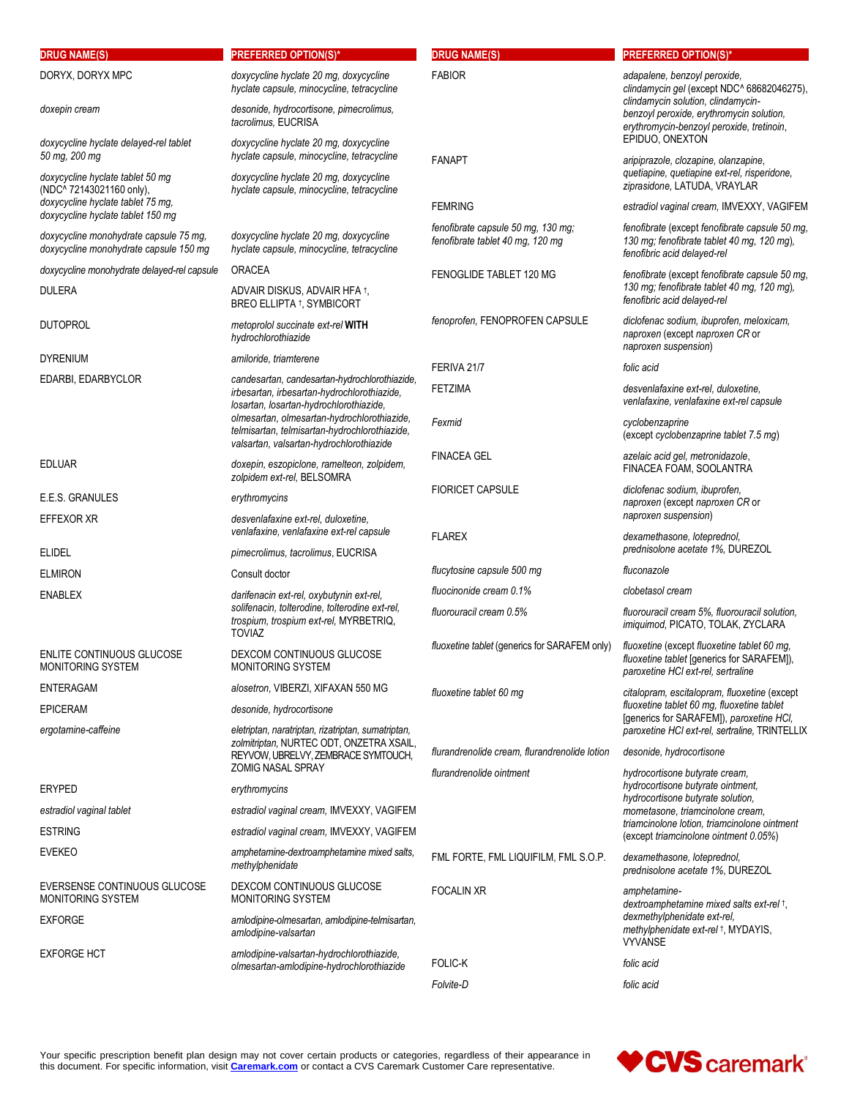| <b>DRUG NAME(S)</b>                                                              | <b>PREFERRED OPTION(S)*</b>                                                                                                                                                                                                                                                         | <b>DRUG NAME(S)</b>                                                    | <b>PREFERRED OPTION(S)*</b>                                                                                                                                                                               |
|----------------------------------------------------------------------------------|-------------------------------------------------------------------------------------------------------------------------------------------------------------------------------------------------------------------------------------------------------------------------------------|------------------------------------------------------------------------|-----------------------------------------------------------------------------------------------------------------------------------------------------------------------------------------------------------|
| DORYX, DORYX MPC                                                                 | doxycycline hyclate 20 mg, doxycycline<br>hyclate capsule, minocycline, tetracycline                                                                                                                                                                                                | <b>FABIOR</b>                                                          | adapalene, benzoyl peroxide,<br>clindamycin gel (except NDC^ 68682046275),<br>clindamycin solution, clindamycin-<br>benzoyl peroxide, erythromycin solution,<br>erythromycin-benzoyl peroxide, tretinoin, |
| doxepin cream                                                                    | desonide, hydrocortisone, pimecrolimus,<br>tacrolimus, EUCRISA                                                                                                                                                                                                                      |                                                                        |                                                                                                                                                                                                           |
| doxycycline hyclate delayed-rel tablet<br>50 mg, 200 mg                          | doxycycline hyclate 20 mg, doxycycline<br>hyclate capsule, minocycline, tetracycline                                                                                                                                                                                                | <b>FANAPT</b>                                                          | EPIDUO, ONEXTON<br>aripiprazole, clozapine, olanzapine,                                                                                                                                                   |
| doxycycline hyclate tablet 50 mg<br>(NDC^ 72143021160 only),                     | doxycycline hyclate 20 mg, doxycycline<br>hyclate capsule, minocycline, tetracycline                                                                                                                                                                                                |                                                                        | quetiapine, quetiapine ext-rel, risperidone,<br>ziprasidone, LATUDA, VRAYLAR                                                                                                                              |
| doxycycline hyclate tablet 75 mg,<br>doxycycline hyclate tablet 150 mg           |                                                                                                                                                                                                                                                                                     | <b>FEMRING</b>                                                         | estradiol vaginal cream, IMVEXXY, VAGIFEM                                                                                                                                                                 |
| doxycycline monohydrate capsule 75 mg,<br>doxycycline monohydrate capsule 150 mg | doxycycline hyclate 20 mg, doxycycline<br>hyclate capsule, minocycline, tetracycline                                                                                                                                                                                                | fenofibrate capsule 50 mg, 130 mg;<br>fenofibrate tablet 40 mg, 120 mg | fenofibrate (except fenofibrate capsule 50 mg,<br>130 mg; fenofibrate tablet 40 mg, 120 mg),<br>fenofibric acid delayed-rel                                                                               |
| doxycycline monohydrate delayed-rel capsule                                      | <b>ORACEA</b>                                                                                                                                                                                                                                                                       | FENOGLIDE TABLET 120 MG                                                | fenofibrate (except fenofibrate capsule 50 mg,                                                                                                                                                            |
| <b>DULERA</b>                                                                    | ADVAIR DISKUS, ADVAIR HFA †,<br>BREO ELLIPTA <sup>†</sup> , SYMBICORT                                                                                                                                                                                                               |                                                                        | 130 mg; fenofibrate tablet 40 mg, 120 mg),<br>fenofibric acid delayed-rel                                                                                                                                 |
| <b>DUTOPROL</b>                                                                  | metoprolol succinate ext-rel WITH<br>hydrochlorothiazide                                                                                                                                                                                                                            | fenoprofen, FENOPROFEN CAPSULE                                         | diclofenac sodium, ibuprofen, meloxicam,<br>naproxen (except naproxen CR or<br>naproxen suspension)                                                                                                       |
| <b>DYRENIUM</b>                                                                  | amiloride, triamterene                                                                                                                                                                                                                                                              | FERIVA 21/7                                                            | folic acid                                                                                                                                                                                                |
| EDARBI, EDARBYCLOR                                                               | candesartan, candesartan-hydrochlorothiazide,<br>irbesartan, irbesartan-hydrochlorothiazide,<br>losartan, losartan-hydrochlorothiazide,<br>olmesartan, olmesartan-hydrochlorothiazide,<br>telmisartan, telmisartan-hydrochlorothiazide,<br>valsartan, valsartan-hydrochlorothiazide | <b>FETZIMA</b>                                                         | desvenlafaxine ext-rel, duloxetine,<br>venlafaxine, venlafaxine ext-rel capsule                                                                                                                           |
|                                                                                  |                                                                                                                                                                                                                                                                                     | Fexmid                                                                 | cyclobenzaprine<br>(except cyclobenzaprine tablet 7.5 mg)                                                                                                                                                 |
| <b>EDLUAR</b>                                                                    | doxepin, eszopiclone, ramelteon, zolpidem,<br>zolpidem ext-rel, BELSOMRA                                                                                                                                                                                                            | <b>FINACEA GEL</b>                                                     | azelaic acid gel, metronidazole,<br>FINACEA FOAM, SOOLANTRA                                                                                                                                               |
| E.E.S. GRANULES                                                                  | erythromycins                                                                                                                                                                                                                                                                       | <b>FIORICET CAPSULE</b>                                                | diclofenac sodium, ibuprofen,<br>naproxen (except naproxen CR or                                                                                                                                          |
| EFFEXOR XR                                                                       | desvenlafaxine ext-rel, duloxetine,<br>venlafaxine, venlafaxine ext-rel capsule                                                                                                                                                                                                     | <b>FLAREX</b>                                                          | naproxen suspension)<br>dexamethasone, loteprednol,                                                                                                                                                       |
| <b>ELIDEL</b>                                                                    | pimecrolimus, tacrolimus, EUCRISA                                                                                                                                                                                                                                                   |                                                                        | prednisolone acetate 1%, DUREZOL                                                                                                                                                                          |
| <b>ELMIRON</b>                                                                   | Consult doctor                                                                                                                                                                                                                                                                      | flucytosine capsule 500 mg                                             | fluconazole                                                                                                                                                                                               |
| <b>ENABLEX</b>                                                                   | darifenacin ext-rel, oxybutynin ext-rel,                                                                                                                                                                                                                                            | fluocinonide cream 0.1%                                                | clobetasol cream                                                                                                                                                                                          |
|                                                                                  | solifenacin, tolterodine, tolterodine ext-rel,<br>trospium, trospium ext-rel, MYRBETRIQ,<br><b>TOVIAZ</b>                                                                                                                                                                           | fluorouracil cream 0.5%                                                | fluorouracil cream 5%, fluorouracil solution,<br>imiguimod, PICATO, TOLAK, ZYCLARA                                                                                                                        |
| ENLITE CONTINUOUS GLUCOSE<br><b>MONITORING SYSTEM</b>                            | DEXCOM CONTINUOUS GLUCOSE<br><b>MONITORING SYSTEM</b>                                                                                                                                                                                                                               | <i>fluoxetine tablet (generics for SARAFEM only)</i>                   | fluoxetine (except fluoxetine tablet 60 mg,<br>fluoxetine tablet [generics for SARAFEM]),<br>paroxetine HCI ext-rel, sertraline                                                                           |
| <b>ENTERAGAM</b>                                                                 | alosetron, VIBERZI, XIFAXAN 550 MG                                                                                                                                                                                                                                                  | fluoxetine tablet 60 mg                                                | citalopram, escitalopram, fluoxetine (except                                                                                                                                                              |
| <b>EPICERAM</b>                                                                  | desonide, hydrocortisone                                                                                                                                                                                                                                                            |                                                                        | fluoxetine tablet 60 mg, fluoxetine tablet<br>[generics for SARAFEM]), paroxetine HCI,                                                                                                                    |
| ergotamine-caffeine                                                              | eletriptan, naratriptan, rizatriptan, sumatriptan,<br>zolmitriptan, NURTEC ODT, ONZETRA XSAIL,<br>REYVOW, UBRELVY, ZEMBRACE SYMTOUCH,<br><b>ZOMIG NASAL SPRAY</b>                                                                                                                   | flurandrenolide cream, flurandrenolide lotion                          | paroxetine HCI ext-rel, sertraline, TRINTELLIX<br>desonide, hydrocortisone                                                                                                                                |
|                                                                                  |                                                                                                                                                                                                                                                                                     | flurandrenolide ointment                                               | hydrocortisone butyrate cream,                                                                                                                                                                            |
| <b>ERYPED</b>                                                                    | erythromycins                                                                                                                                                                                                                                                                       |                                                                        | hydrocortisone butyrate ointment,<br>hydrocortisone butyrate solution.                                                                                                                                    |
| estradiol vaginal tablet                                                         | estradiol vaginal cream, IMVEXXY, VAGIFEM                                                                                                                                                                                                                                           |                                                                        | mometasone, triamcinolone cream,                                                                                                                                                                          |
| <b>ESTRING</b>                                                                   | estradiol vaginal cream, IMVEXXY, VAGIFEM                                                                                                                                                                                                                                           |                                                                        | triamcinolone lotion, triamcinolone ointment<br>(except triamcinolone ointment 0.05%)                                                                                                                     |
| <b>EVEKEO</b>                                                                    | amphetamine-dextroamphetamine mixed salts,<br>methylphenidate                                                                                                                                                                                                                       | FML FORTE, FML LIQUIFILM, FML S.O.P.                                   | dexamethasone, loteprednol,<br>prednisolone acetate 1%, DUREZOL                                                                                                                                           |
| EVERSENSE CONTINUOUS GLUCOSE<br>MONITORING SYSTEM                                | DEXCOM CONTINUOUS GLUCOSE<br>MONITORING SYSTEM                                                                                                                                                                                                                                      | <b>FOCALIN XR</b>                                                      | amphetamine-<br>dextroamphetamine mixed salts ext-rel +,                                                                                                                                                  |
| <b>EXFORGE</b>                                                                   | amlodipine-olmesartan, amlodipine-telmisartan,<br>amlodipine-valsartan                                                                                                                                                                                                              |                                                                        | dexmethylphenidate ext-rel,<br>methylphenidate ext-rel +, MYDAYIS,<br><b>VYVANSE</b>                                                                                                                      |
| <b>EXFORGE HCT</b>                                                               | amlodipine-valsartan-hydrochlorothiazide,<br>olmesartan-amlodipine-hydrochlorothiazide                                                                                                                                                                                              | <b>FOLIC-K</b>                                                         | folic acid                                                                                                                                                                                                |
|                                                                                  |                                                                                                                                                                                                                                                                                     | Folvite-D                                                              | folic acid                                                                                                                                                                                                |
|                                                                                  |                                                                                                                                                                                                                                                                                     |                                                                        |                                                                                                                                                                                                           |

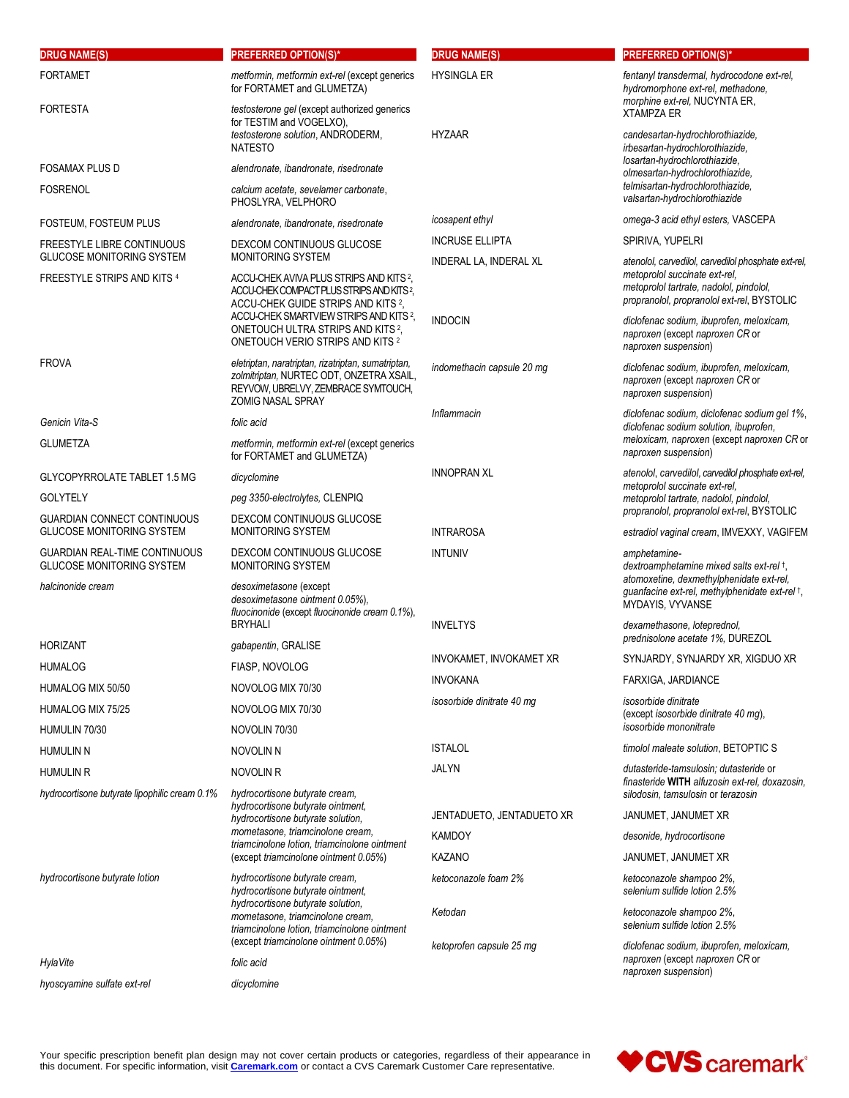| <b>DRUG NAME(S)</b>                                                    | <b>PREFERRED OPTION(S)*</b>                                                                                                                                       | <b>DRUG NAME(S)</b>                              | <b>PREFERRED OPTION(S)*</b>                                                                                                                                |
|------------------------------------------------------------------------|-------------------------------------------------------------------------------------------------------------------------------------------------------------------|--------------------------------------------------|------------------------------------------------------------------------------------------------------------------------------------------------------------|
| <b>FORTAMET</b>                                                        | metformin, metformin ext-rel (except generics<br>for FORTAMET and GLUMETZA)                                                                                       | <b>HYSINGLA ER</b>                               | fentanyl transdermal, hydrocodone ext-rel,<br>hydromorphone ext-rel, methadone,                                                                            |
| <b>FORTESTA</b>                                                        | testosterone gel (except authorized generics<br>for TESTIM and VOGELXO),<br>testosterone solution, ANDRODERM,<br><b>NATESTO</b>                                   |                                                  | morphine ext-rel, NUCYNTA ER,<br><b>XTAMPZA ER</b><br>candesartan-hydrochlorothiazide,<br>irbesartan-hydrochlorothiazide,<br>losartan-hydrochlorothiazide, |
|                                                                        |                                                                                                                                                                   | <b>HYZAAR</b>                                    |                                                                                                                                                            |
| <b>FOSAMAX PLUS D</b>                                                  | alendronate, ibandronate, risedronate                                                                                                                             |                                                  | olmesartan-hydrochlorothiazide,                                                                                                                            |
| <b>FOSRENOL</b>                                                        | calcium acetate, sevelamer carbonate,<br>PHOSLYRA, VELPHORO                                                                                                       |                                                  | telmisartan-hydrochlorothiazide,<br>valsartan-hydrochlorothiazide                                                                                          |
| FOSTEUM, FOSTEUM PLUS                                                  | alendronate, ibandronate, risedronate                                                                                                                             | icosapent ethyl                                  | omega-3 acid ethyl esters, VASCEPA                                                                                                                         |
| FREESTYLE LIBRE CONTINUOUS<br><b>GLUCOSE MONITORING SYSTEM</b>         | DEXCOM CONTINUOUS GLUCOSE<br>MONITORING SYSTEM                                                                                                                    | <b>INCRUSE ELLIPTA</b><br>INDERAL LA, INDERAL XL | SPIRIVA, YUPELRI<br>atenolol, carvedilol, carvedilol phosphate ext-rel,                                                                                    |
| FREESTYLE STRIPS AND KITS 4                                            | ACCU-CHEK AVIVA PLUS STRIPS AND KITS <sup>2</sup> ,<br>ACCU-CHEK COMPACT PLUS STRIPS AND KITS <sup>2</sup> ,<br>ACCU-CHEK GUIDE STRIPS AND KITS <sup>2</sup> ,    |                                                  | metoprolol succinate ext-rel,<br>metoprolol tartrate, nadolol, pindolol,<br>propranolol, propranolol ext-rel, BYSTOLIC                                     |
|                                                                        | ACCU-CHEK SMARTVIEW STRIPS AND KITS 2,<br>ONETOUCH ULTRA STRIPS AND KITS <sup>2</sup> ,<br>ONETOUCH VERIO STRIPS AND KITS 2                                       | <b>INDOCIN</b>                                   | diclofenac sodium, ibuprofen, meloxicam,<br>naproxen (except naproxen CR or<br>naproxen suspension)                                                        |
| <b>FROVA</b>                                                           | eletriptan, naratriptan, rizatriptan, sumatriptan,<br>zolmitriptan, NURTEC ODT, ONZETRA XSAIL,<br>REYVOW, UBRELVY, ZEMBRACE SYMTOUCH,<br><b>ZOMIG NASAL SPRAY</b> | indomethacin capsule 20 mg                       | diclofenac sodium, ibuprofen, meloxicam,<br>naproxen (except naproxen CR or<br>naproxen suspension)                                                        |
| Genicin Vita-S                                                         | folic acid                                                                                                                                                        | Inflammacin                                      | diclofenac sodium, diclofenac sodium gel 1%,                                                                                                               |
| <b>GLUMETZA</b>                                                        | metformin, metformin ext-rel (except generics<br>for FORTAMET and GLUMETZA)                                                                                       |                                                  | diclofenac sodium solution, ibuprofen,<br>meloxicam, naproxen (except naproxen CR or<br>naproxen suspension)                                               |
| <b>GLYCOPYRROLATE TABLET 1.5 MG</b>                                    | dicyclomine                                                                                                                                                       | <b>INNOPRAN XL</b>                               | atenolol, carvedilol, carvedilol phosphate ext-rel,<br>metoprolol succinate ext-rel,                                                                       |
| <b>GOLYTELY</b>                                                        | peg 3350-electrolytes, CLENPIQ                                                                                                                                    |                                                  | metoprolol tartrate, nadolol, pindolol,                                                                                                                    |
| <b>GUARDIAN CONNECT CONTINUOUS</b><br><b>GLUCOSE MONITORING SYSTEM</b> | DEXCOM CONTINUOUS GLUCOSE<br>MONITORING SYSTEM                                                                                                                    | <b>INTRAROSA</b>                                 | propranolol, propranolol ext-rel, BYSTOLIC<br>estradiol vaginal cream, IMVEXXY, VAGIFEM                                                                    |
| <b>GUARDIAN REAL-TIME CONTINUOUS</b>                                   | DEXCOM CONTINUOUS GLUCOSE                                                                                                                                         | <b>INTUNIV</b>                                   | amphetamine-                                                                                                                                               |
| <b>GLUCOSE MONITORING SYSTEM</b>                                       | MONITORING SYSTEM                                                                                                                                                 |                                                  | dextroamphetamine mixed salts ext-rel +,<br>atomoxetine, dexmethylphenidate ext-rel,                                                                       |
| halcinonide cream                                                      | desoximetasone (except<br>desoximetasone ointment 0.05%),<br>fluocinonide (except fluocinonide cream 0.1%),                                                       |                                                  | guanfacine ext-rel, methylphenidate ext-rel +,<br>MYDAYIS, VYVANSE                                                                                         |
|                                                                        | <b>BRYHALI</b>                                                                                                                                                    | <b>INVELTYS</b>                                  | dexamethasone, loteprednol,<br>prednisolone acetate 1%, DUREZOL                                                                                            |
| <b>HORIZANT</b>                                                        | gabapentin, GRALISE                                                                                                                                               | INVOKAMET, INVOKAMET XR                          | SYNJARDY, SYNJARDY XR, XIGDUO XR                                                                                                                           |
| <b>HUMALOG</b>                                                         | FIASP, NOVOLOG                                                                                                                                                    | <b>INVOKANA</b>                                  | FARXIGA, JARDIANCE                                                                                                                                         |
| HUMALOG MIX 50/50                                                      | NOVOLOG MIX 70/30                                                                                                                                                 | isosorbide dinitrate 40 mg                       | isosorbide dinitrate                                                                                                                                       |
| HUMALOG MIX 75/25                                                      | NOVOLOG MIX 70/30                                                                                                                                                 |                                                  | (except isosorbide dinitrate 40 mg),                                                                                                                       |
| HUMULIN 70/30                                                          | NOVOLIN 70/30                                                                                                                                                     |                                                  | isosorbide mononitrate                                                                                                                                     |
| HUMULIN N                                                              | NOVOLIN N                                                                                                                                                         | <b>ISTALOL</b>                                   | timolol maleate solution, BETOPTIC S                                                                                                                       |
| <b>HUMULIN R</b><br>hydrocortisone butyrate lipophilic cream 0.1%      | NOVOLIN R<br>hydrocortisone butyrate cream,                                                                                                                       | JALYN                                            | dutasteride-tamsulosin; dutasteride or<br>finasteride WITH alfuzosin ext-rel, doxazosin,<br>silodosin, tamsulosin or terazosin                             |
|                                                                        | hydrocortisone butyrate ointment,                                                                                                                                 | JENTADUETO, JENTADUETO XR                        | JANUMET, JANUMET XR                                                                                                                                        |
|                                                                        | hydrocortisone butyrate solution,<br>mometasone, triamcinolone cream,                                                                                             | <b>KAMDOY</b>                                    | desonide, hydrocortisone                                                                                                                                   |
|                                                                        | triamcinolone lotion, triamcinolone ointment<br>(except triamcinolone ointment 0.05%)                                                                             | KAZANO                                           | JANUMET, JANUMET XR                                                                                                                                        |
|                                                                        | hydrocortisone butyrate cream,                                                                                                                                    | ketoconazole foam 2%                             | ketoconazole shampoo 2%,                                                                                                                                   |
| hydrocortisone butyrate lotion                                         | hydrocortisone butyrate ointment,<br>hydrocortisone butyrate solution,<br>mometasone, triamcinolone cream,<br>triamcinolone lotion, triamcinolone ointment        |                                                  | selenium sulfide lotion 2.5%                                                                                                                               |
|                                                                        |                                                                                                                                                                   | Ketodan                                          | ketoconazole shampoo 2%,<br>selenium sulfide lotion 2.5%                                                                                                   |
| HylaVite                                                               | (except triamcinolone ointment 0.05%)<br>folic acid                                                                                                               | ketoprofen capsule 25 mg                         | diclofenac sodium, ibuprofen, meloxicam,<br>naproxen (except naproxen CR or                                                                                |
| hyoscyamine sulfate ext-rel                                            | dicyclomine                                                                                                                                                       |                                                  | naproxen suspension)                                                                                                                                       |

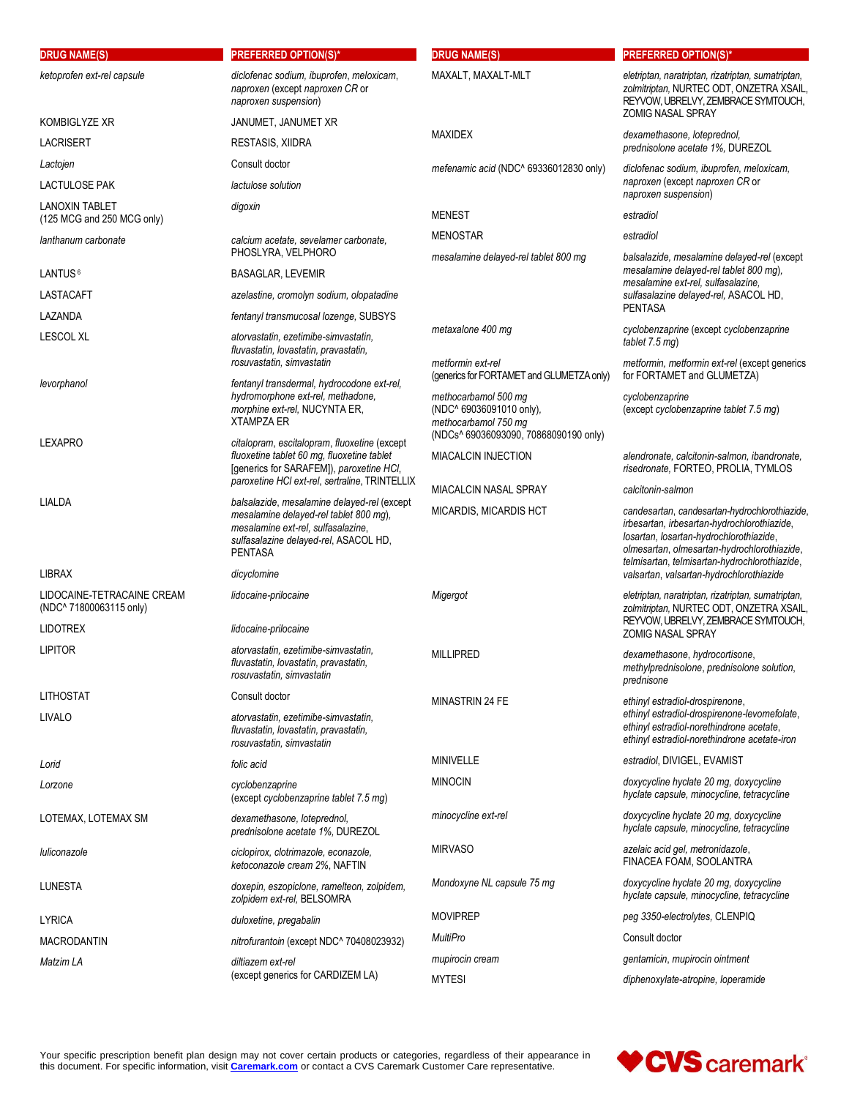| <b>DRUG NAME(S)</b>                                   | <b>PREFERRED OPTION(S)*</b>                                                                                                                                                            | <b>DRUG NAME(S)</b>                                                                                               | <b>PREFERRED OPTION(S)*</b>                                                                                                                                                                                                             |
|-------------------------------------------------------|----------------------------------------------------------------------------------------------------------------------------------------------------------------------------------------|-------------------------------------------------------------------------------------------------------------------|-----------------------------------------------------------------------------------------------------------------------------------------------------------------------------------------------------------------------------------------|
| ketoprofen ext-rel capsule                            | diclofenac sodium, ibuprofen, meloxicam,<br>naproxen (except naproxen CR or<br>naproxen suspension)                                                                                    | MAXALT, MAXALT-MLT                                                                                                | eletriptan, naratriptan, rizatriptan, sumatriptan,<br>zolmitriptan, NURTEC ODT, ONZETRA XSAIL,<br>REYVOW, UBRELVY, ZEMBRACE SYMTOUCH,<br><b>ZOMIG NASAL SPRAY</b>                                                                       |
| KOMBIGLYZE XR                                         | JANUMET, JANUMET XR                                                                                                                                                                    | <b>MAXIDEX</b>                                                                                                    | dexamethasone, loteprednol,                                                                                                                                                                                                             |
| <b>LACRISERT</b>                                      | <b>RESTASIS, XIIDRA</b>                                                                                                                                                                |                                                                                                                   | prednisolone acetate 1%, DUREZOL                                                                                                                                                                                                        |
| Lactojen                                              | Consult doctor                                                                                                                                                                         | mefenamic acid (NDC^ 69336012830 only)                                                                            | diclofenac sodium, ibuprofen, meloxicam,<br>naproxen (except naproxen CR or<br>naproxen suspension)                                                                                                                                     |
| LACTULOSE PAK                                         | lactulose solution                                                                                                                                                                     |                                                                                                                   |                                                                                                                                                                                                                                         |
| <b>LANOXIN TABLET</b><br>(125 MCG and 250 MCG only)   | digoxin                                                                                                                                                                                | <b>MENEST</b>                                                                                                     | estradiol                                                                                                                                                                                                                               |
| lanthanum carbonate                                   | calcium acetate, sevelamer carbonate,<br>PHOSLYRA, VELPHORO                                                                                                                            | <b>MENOSTAR</b><br>mesalamine delayed-rel tablet 800 mg                                                           | estradiol<br>balsalazide, mesalamine delayed-rel (except                                                                                                                                                                                |
| LANTUS <sup>6</sup>                                   | <b>BASAGLAR, LEVEMIR</b>                                                                                                                                                               |                                                                                                                   | mesalamine delayed-rel tablet 800 mg),                                                                                                                                                                                                  |
| LASTACAFT                                             | azelastine, cromolyn sodium, olopatadine                                                                                                                                               |                                                                                                                   | mesalamine ext-rel, sulfasalazine,<br>sulfasalazine delayed-rel, ASACOL HD,                                                                                                                                                             |
| LAZANDA                                               | fentanyl transmucosal lozenge, SUBSYS                                                                                                                                                  |                                                                                                                   | <b>PENTASA</b>                                                                                                                                                                                                                          |
| <b>LESCOL XL</b>                                      | atorvastatin, ezetimibe-simvastatin,<br>fluvastatin, lovastatin, pravastatin,                                                                                                          | metaxalone 400 mg                                                                                                 | cyclobenzaprine (except cyclobenzaprine<br>tablet 7.5 mg)                                                                                                                                                                               |
| levorphanol                                           | rosuvastatin, simvastatin<br>fentanyl transdermal, hydrocodone ext-rel,                                                                                                                | metformin ext-rel<br>(generics for FORTAMET and GLUMETZA only)                                                    | metformin, metformin ext-rel (except generics<br>for FORTAMET and GLUMETZA)                                                                                                                                                             |
|                                                       | hydromorphone ext-rel, methadone,<br>morphine ext-rel, NUCYNTA ER,<br><b>XTAMPZA ER</b>                                                                                                | methocarbamol 500 mg<br>(NDC^ 69036091010 only),<br>methocarbamol 750 mg<br>(NDCs^ 69036093090, 70868090190 only) | cyclobenzaprine<br>(except cyclobenzaprine tablet 7.5 mg)                                                                                                                                                                               |
| LEXAPRO                                               | citalopram, escitalopram, fluoxetine (except<br>fluoxetine tablet 60 mg, fluoxetine tablet<br>[generics for SARAFEM]), paroxetine HCI,                                                 | <b>MIACALCIN INJECTION</b>                                                                                        | alendronate, calcitonin-salmon, ibandronate,<br>risedronate, FORTEO, PROLIA, TYMLOS                                                                                                                                                     |
|                                                       | paroxetine HCI ext-rel, sertraline, TRINTELLIX                                                                                                                                         | MIACALCIN NASAL SPRAY                                                                                             | calcitonin-salmon                                                                                                                                                                                                                       |
| LIALDA                                                | balsalazide, mesalamine delayed-rel (except<br>mesalamine delayed-rel tablet 800 mg),<br>mesalamine ext-rel, sulfasalazine,<br>sulfasalazine delayed-rel, ASACOL HD,<br><b>PENTASA</b> | MICARDIS, MICARDIS HCT                                                                                            | candesartan, candesartan-hydrochlorothiazide,<br>irbesartan, irbesartan-hydrochlorothiazide,<br>losartan, losartan-hydrochlorothiazide,<br>olmesartan, olmesartan-hydrochlorothiazide,<br>telmisartan, telmisartan-hydrochlorothiazide, |
| <b>LIBRAX</b>                                         | dicyclomine                                                                                                                                                                            |                                                                                                                   | valsartan, valsartan-hydrochlorothiazide                                                                                                                                                                                                |
| LIDOCAINE-TETRACAINE CREAM<br>(NDC^ 71800063115 only) | lidocaine-prilocaine                                                                                                                                                                   | Migergot                                                                                                          | eletriptan, naratriptan, rizatriptan, sumatriptan,<br>zolmitriptan, NURTEC ODT, ONZETRA XSAIL,<br>REYVOW, UBRELVY, ZEMBRACE SYMTOUCH,                                                                                                   |
| <b>LIDOTREX</b>                                       | lidocaine-prilocaine                                                                                                                                                                   |                                                                                                                   | <b>ZOMIG NASAL SPRAY</b>                                                                                                                                                                                                                |
| <b>LIPITOR</b>                                        | atorvastatin, ezetimibe-simvastatin,<br>fluvastatin, lovastatin, pravastatin,<br>rosuvastatin, simvastatin                                                                             | <b>MILLIPRED</b>                                                                                                  | dexamethasone, hydrocortisone,<br>methylprednisolone, prednisolone solution,<br>prednisone                                                                                                                                              |
| <b>LITHOSTAT</b>                                      | Consult doctor                                                                                                                                                                         | MINASTRIN 24 FE                                                                                                   | ethinyl estradiol-drospirenone.                                                                                                                                                                                                         |
| LIVALO                                                | atorvastatin, ezetimibe-simvastatin,<br>fluvastatin, lovastatin, pravastatin,<br>rosuvastatin, simvastatin                                                                             |                                                                                                                   | ethinyl estradiol-drospirenone-levomefolate,<br>ethinyl estradiol-norethindrone acetate,<br>ethinyl estradiol-norethindrone acetate-iron                                                                                                |
| Lorid                                                 | folic acid                                                                                                                                                                             | <b>MINIVELLE</b>                                                                                                  | estradiol, DIVIGEL, EVAMIST                                                                                                                                                                                                             |
| Lorzone                                               | cyclobenzaprine<br>(except cyclobenzaprine tablet 7.5 mg)                                                                                                                              | <b>MINOCIN</b>                                                                                                    | doxycycline hyclate 20 mg, doxycycline<br>hyclate capsule, minocycline, tetracycline                                                                                                                                                    |
| LOTEMAX, LOTEMAX SM                                   | dexamethasone, loteprednol,<br>prednisolone acetate 1%, DUREZOL                                                                                                                        | minocycline ext-rel                                                                                               | doxycycline hyclate 20 mg, doxycycline<br>hyclate capsule, minocycline, tetracycline                                                                                                                                                    |
| luliconazole                                          | ciclopirox, clotrimazole, econazole,<br>ketoconazole cream 2%, NAFTIN                                                                                                                  | <b>MIRVASO</b>                                                                                                    | azelaic acid gel, metronidazole,<br>FINACEA FOAM, SOOLANTRA                                                                                                                                                                             |
| LUNESTA                                               | doxepin, eszopiclone, ramelteon, zolpidem,<br>zolpidem ext-rel, BELSOMRA                                                                                                               | Mondoxyne NL capsule 75 mg                                                                                        | doxycycline hyclate 20 mg, doxycycline<br>hyclate capsule, minocycline, tetracycline                                                                                                                                                    |
| <b>LYRICA</b>                                         | duloxetine, pregabalin                                                                                                                                                                 | <b>MOVIPREP</b>                                                                                                   | peg 3350-electrolytes, CLENPIQ                                                                                                                                                                                                          |
| <b>MACRODANTIN</b>                                    | nitrofurantoin (except NDC^ 70408023932)                                                                                                                                               | MultiPro                                                                                                          | Consult doctor                                                                                                                                                                                                                          |
| Matzim LA                                             | diltiazem ext-rel<br>(except generics for CARDIZEM LA)                                                                                                                                 | mupirocin cream                                                                                                   | gentamicin, mupirocin ointment                                                                                                                                                                                                          |
|                                                       |                                                                                                                                                                                        | <b>MYTESI</b>                                                                                                     | diphenoxylate-atropine, loperamide                                                                                                                                                                                                      |

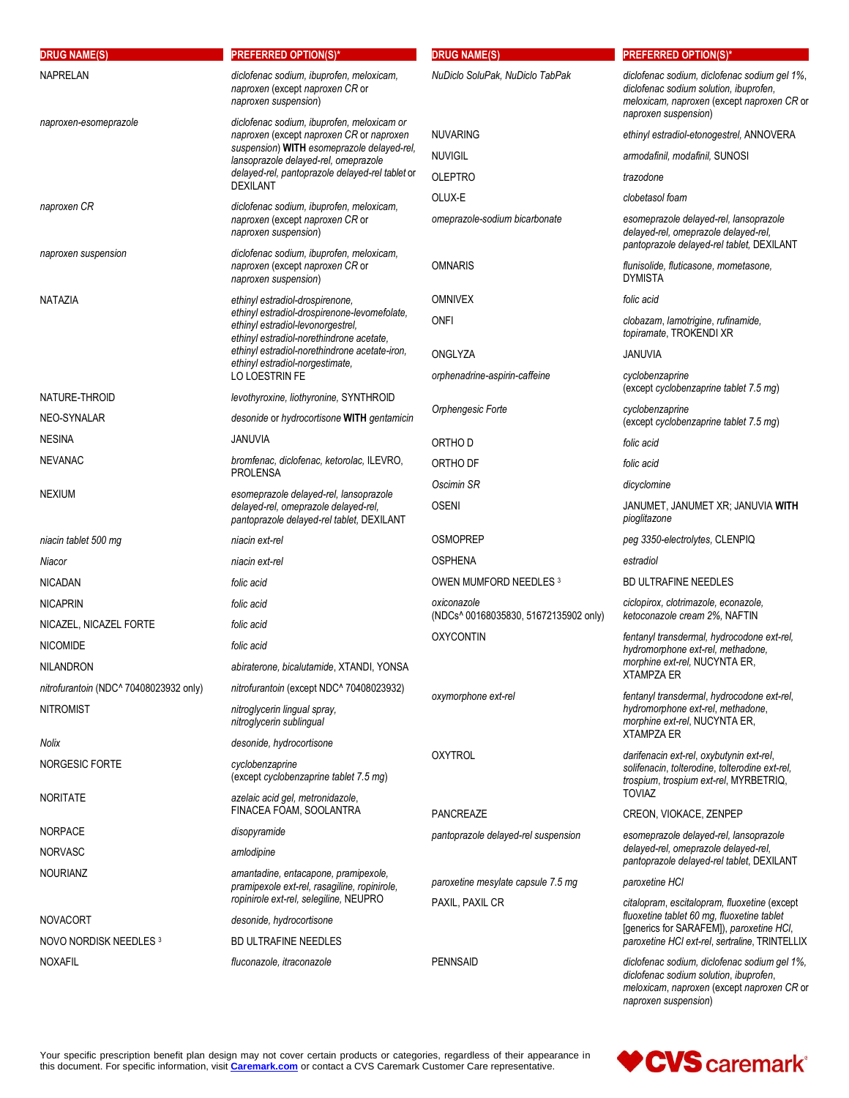| <b>DRUG NAME(S)</b>                    | <b>PREFERRED OPTION(S)*</b>                                                                                                                    | <b>DRUG NAME(S)</b>                   | <b>PREFERRED OPTION(S)*</b>                                                                                                                                  |
|----------------------------------------|------------------------------------------------------------------------------------------------------------------------------------------------|---------------------------------------|--------------------------------------------------------------------------------------------------------------------------------------------------------------|
| <b>NAPRELAN</b>                        | diclofenac sodium, ibuprofen, meloxicam,<br>naproxen (except naproxen CR or<br>naproxen suspension)                                            | NuDiclo SoluPak, NuDiclo TabPak       | diclofenac sodium, diclofenac sodium gel 1%,<br>diclofenac sodium solution, ibuprofen,<br>meloxicam, naproxen (except naproxen CR or<br>naproxen suspension) |
| naproxen-esomeprazole                  | diclofenac sodium, ibuprofen, meloxicam or<br>naproxen (except naproxen CR or naproxen                                                         | <b>NUVARING</b>                       | ethinyl estradiol-etonogestrel, ANNOVERA                                                                                                                     |
|                                        | suspension) WITH esomeprazole delayed-rel,                                                                                                     | <b>NUVIGIL</b>                        | armodafinil, modafinil, SUNOSI                                                                                                                               |
|                                        | lansoprazole delayed-rel, omeprazole<br>delayed-rel, pantoprazole delayed-rel tablet or                                                        | <b>OLEPTRO</b>                        | trazodone                                                                                                                                                    |
|                                        | <b>DEXILANT</b>                                                                                                                                | OLUX-E                                | clobetasol foam                                                                                                                                              |
| naproxen CR                            | diclofenac sodium, ibuprofen, meloxicam,<br>naproxen (except naproxen CR or<br>naproxen suspension)                                            | omeprazole-sodium bicarbonate         | esomeprazole delayed-rel, lansoprazole<br>delayed-rel, omeprazole delayed-rel,<br>pantoprazole delayed-rel tablet, DEXILANT                                  |
| naproxen suspension                    | diclofenac sodium, ibuprofen, meloxicam,<br>naproxen (except naproxen CR or<br>naproxen suspension)                                            | <b>OMNARIS</b>                        | flunisolide, fluticasone, mometasone,<br><b>DYMISTA</b>                                                                                                      |
| NATAZIA                                | ethinyl estradiol-drospirenone,                                                                                                                | <b>OMNIVEX</b>                        | folic acid                                                                                                                                                   |
|                                        | ethinyl estradiol-drospirenone-levomefolate,<br>ethinyl estradiol-levonorgestrel.<br>ethinyl estradiol-norethindrone acetate,                  | <b>ONFI</b>                           | clobazam, lamotrigine, rufinamide,<br>topiramate, TROKENDI XR                                                                                                |
|                                        | ethinyl estradiol-norethindrone acetate-iron.<br>ethinyl estradiol-norgestimate,                                                               | ONGLYZA                               | <b>JANUVIA</b>                                                                                                                                               |
|                                        | LO LOESTRIN FE                                                                                                                                 | orphenadrine-aspirin-caffeine         | cyclobenzaprine<br>(except cyclobenzaprine tablet 7.5 mg)                                                                                                    |
| NATURE-THROID<br>NEO-SYNALAR           | levothyroxine, liothyronine, SYNTHROID<br>desonide or hydrocortisone WITH gentamicin                                                           | Orphengesic Forte                     | cyclobenzaprine<br>(except cyclobenzaprine tablet 7.5 mg)                                                                                                    |
| <b>NESINA</b>                          | JANUVIA                                                                                                                                        | ORTHO D                               | folic acid                                                                                                                                                   |
| <b>NEVANAC</b>                         | bromfenac, diclofenac, ketorolac, ILEVRO,                                                                                                      | ORTHO DF                              | folic acid                                                                                                                                                   |
| <b>NEXIUM</b>                          | <b>PROLENSA</b><br>esomeprazole delayed-rel, lansoprazole<br>delayed-rel, omeprazole delayed-rel,<br>pantoprazole delayed-rel tablet, DEXILANT | Oscimin SR                            | dicyclomine                                                                                                                                                  |
|                                        |                                                                                                                                                | <b>OSENI</b>                          | JANUMET, JANUMET XR; JANUVIA WITH<br>pioglitazone                                                                                                            |
| niacin tablet 500 mg                   | niacin ext-rel                                                                                                                                 | <b>OSMOPREP</b>                       | peg 3350-electrolytes, CLENPIQ                                                                                                                               |
| Niacor                                 | niacin ext-rel                                                                                                                                 | <b>OSPHENA</b>                        | estradiol                                                                                                                                                    |
| <b>NICADAN</b>                         | folic acid                                                                                                                                     | OWEN MUMFORD NEEDLES 3                | <b>BD ULTRAFINE NEEDLES</b>                                                                                                                                  |
| <b>NICAPRIN</b>                        | folic acid                                                                                                                                     | oxiconazole                           | ciclopirox, clotrimazole, econazole,                                                                                                                         |
| NICAZEL, NICAZEL FORTE                 | folic acid                                                                                                                                     | (NDCs^ 00168035830, 51672135902 only) | ketoconazole cream 2%, NAFTIN<br>fentanyl transdermal, hydrocodone ext-rel,<br>hydromorphone ext-rel, methadone,                                             |
| <b>NICOMIDE</b>                        | folic acid                                                                                                                                     | <b>OXYCONTIN</b>                      |                                                                                                                                                              |
| <b>NILANDRON</b>                       | abiraterone, bicalutamide, XTANDI, YONSA                                                                                                       |                                       | <i>morphine ext-rel</i> , NUCYNTA ER,<br><b>XTAMPZA ER</b>                                                                                                   |
| nitrofurantoin (NDC^ 70408023932 only) | nitrofurantoin (except NDC^ 70408023932)                                                                                                       | oxymorphone ext-rel                   | fentanyl transdermal, hydrocodone ext-rel,                                                                                                                   |
| <b>NITROMIST</b>                       | nitroglycerin lingual spray,<br>nitroglycerin sublingual                                                                                       |                                       | hydromorphone ext-rel, methadone,<br>morphine ext-rel, NUCYNTA ER,<br><b>XTAMPZA ER</b>                                                                      |
| Nolix                                  | desonide, hydrocortisone                                                                                                                       | <b>OXYTROL</b>                        | darifenacin ext-rel, oxybutynin ext-rel,<br>solifenacin, tolterodine, tolterodine ext-rel,<br>trospium, trospium ext-rel, MYRBETRIQ,                         |
| NORGESIC FORTE                         | cyclobenzaprine<br>(except cyclobenzaprine tablet 7.5 mg)                                                                                      |                                       |                                                                                                                                                              |
| <b>NORITATE</b>                        | azelaic acid gel, metronidazole,<br>FINACEA FOAM, SOOLANTRA                                                                                    | <b>PANCREAZE</b>                      | <b>TOVIAZ</b><br>CREON, VIOKACE, ZENPEP                                                                                                                      |
| <b>NORPACE</b>                         | disopyramide                                                                                                                                   | pantoprazole delayed-rel suspension   | esomeprazole delayed-rel, lansoprazole                                                                                                                       |
| <b>NORVASC</b>                         | amlodipine                                                                                                                                     |                                       | delayed-rel, omeprazole delayed-rel,<br>pantoprazole delayed-rel tablet, DEXILANT                                                                            |
| <b>NOURIANZ</b>                        | amantadine, entacapone, pramipexole,<br>pramipexole ext-rel, rasagiline, ropinirole,                                                           | paroxetine mesylate capsule 7.5 mg    | paroxetine HCI                                                                                                                                               |
|                                        | ropinirole ext-rel, selegiline, NEUPRO                                                                                                         | PAXIL, PAXIL CR                       | citalopram, escitalopram, fluoxetine (except                                                                                                                 |
| <b>NOVACORT</b>                        | desonide, hydrocortisone                                                                                                                       |                                       | fluoxetine tablet 60 mg, fluoxetine tablet<br>[generics for SARAFEM]), paroxetine HCI,                                                                       |
| NOVO NORDISK NEEDLES 3                 | <b>BD ULTRAFINE NEEDLES</b>                                                                                                                    |                                       | paroxetine HCI ext-rel, sertraline, TRINTELLIX                                                                                                               |
| <b>NOXAFIL</b>                         | fluconazole, itraconazole                                                                                                                      | <b>PENNSAID</b>                       | diclofenac sodium, diclofenac sodium gel 1%,<br>diclofenac sodium solution, ibuprofen,<br>meloxicam, naproxen (except naproxen CR or                         |



*naproxen suspension*)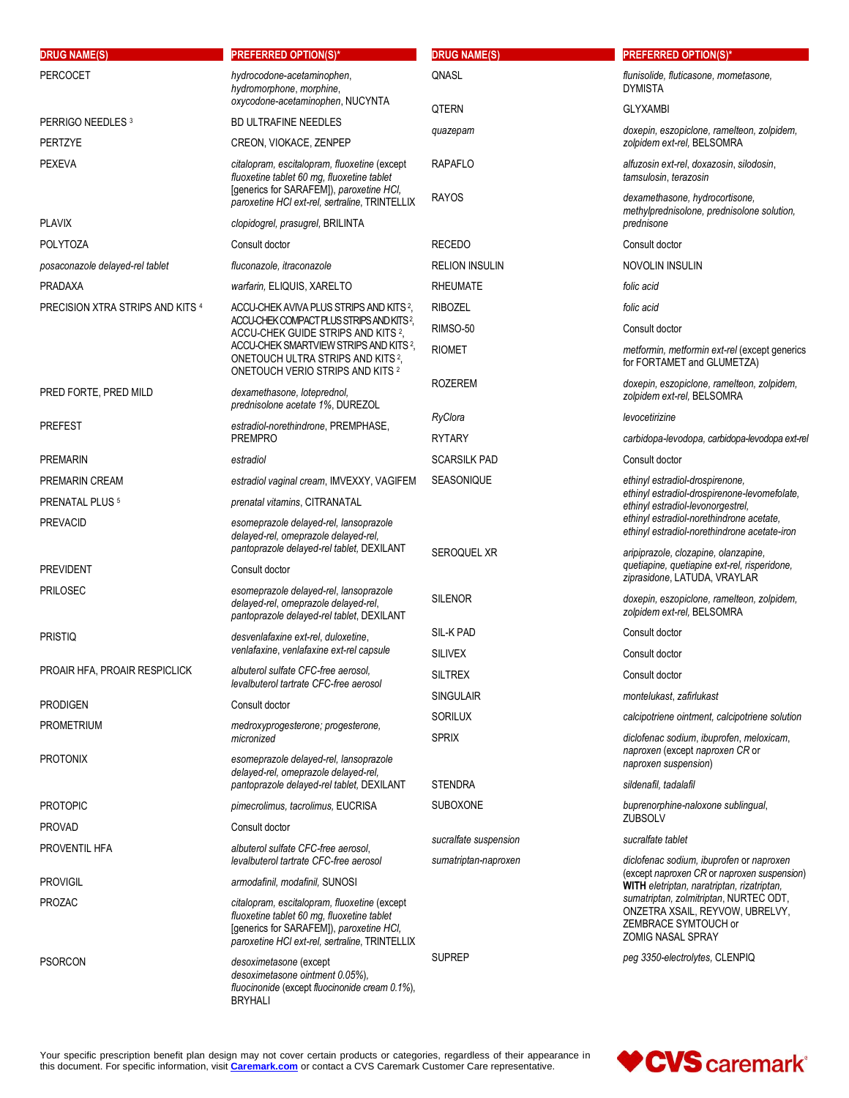| <b>DRUG NAME(S)</b>              | <b>PREFERRED OPTION(S)*</b>                                                                                                                                                              | <b>DRUG NAME(S)</b>   | <b>PREFERRED OPTION(S)*</b>                                                                                                   |
|----------------------------------|------------------------------------------------------------------------------------------------------------------------------------------------------------------------------------------|-----------------------|-------------------------------------------------------------------------------------------------------------------------------|
| <b>PERCOCET</b>                  | hydrocodone-acetaminophen,<br>hydromorphone, morphine,                                                                                                                                   | <b>QNASL</b>          | flunisolide, fluticasone, mometasone,<br><b>DYMISTA</b>                                                                       |
|                                  | oxycodone-acetaminophen, NUCYNTA                                                                                                                                                         | QTERN                 | <b>GLYXAMBI</b>                                                                                                               |
| PERRIGO NEEDLES <sup>3</sup>     | <b>BD ULTRAFINE NEEDLES</b>                                                                                                                                                              | quazepam              | doxepin, eszopiclone, ramelteon, zolpidem,                                                                                    |
| <b>PERTZYE</b>                   | CREON, VIOKACE, ZENPEP                                                                                                                                                                   |                       | zolpidem ext-rel, BELSOMRA                                                                                                    |
| <b>PEXEVA</b>                    | citalopram, escitalopram, fluoxetine (except<br>fluoxetine tablet 60 mg, fluoxetine tablet<br>[generics for SARAFEM]), paroxetine HCI,                                                   | <b>RAPAFLO</b>        | alfuzosin ext-rel, doxazosin, silodosin,<br>tamsulosin, terazosin                                                             |
|                                  | paroxetine HCI ext-rel, sertraline, TRINTELLIX                                                                                                                                           | <b>RAYOS</b>          | dexamethasone, hydrocortisone,<br>methylprednisolone, prednisolone solution,                                                  |
| <b>PLAVIX</b>                    | clopidogrel, prasugrel, BRILINTA                                                                                                                                                         |                       | prednisone                                                                                                                    |
| <b>POLYTOZA</b>                  | Consult doctor                                                                                                                                                                           | <b>RECEDO</b>         | Consult doctor                                                                                                                |
| posaconazole delayed-rel tablet  | fluconazole, itraconazole                                                                                                                                                                | <b>RELION INSULIN</b> | NOVOLIN INSULIN                                                                                                               |
| <b>PRADAXA</b>                   | warfarin, ELIQUIS, XARELTO                                                                                                                                                               | <b>RHEUMATE</b>       | folic acid                                                                                                                    |
| PRECISION XTRA STRIPS AND KITS 4 | ACCU-CHEK AVIVA PLUS STRIPS AND KITS 2,                                                                                                                                                  | <b>RIBOZEL</b>        | folic acid                                                                                                                    |
|                                  | ACCU-CHEK COMPACT PLUS STRIPS AND KITS <sup>2</sup> ,<br>ACCU-CHEK GUIDE STRIPS AND KITS 2,                                                                                              | RIMSO-50              | Consult doctor                                                                                                                |
|                                  | ACCU-CHEK SMARTVIEW STRIPS AND KITS <sup>2</sup> ,                                                                                                                                       | <b>RIOMET</b>         | metformin, metformin ext-rel (except generics                                                                                 |
|                                  | ONETOUCH ULTRA STRIPS AND KITS <sup>2</sup> ,<br>ONETOUCH VERIO STRIPS AND KITS 2                                                                                                        |                       | for FORTAMET and GLUMETZA)                                                                                                    |
| PRED FORTE, PRED MILD            | dexamethasone, loteprednol,<br>prednisolone acetate 1%, DUREZOL                                                                                                                          | <b>ROZEREM</b>        | doxepin, eszopiclone, ramelteon, zolpidem,<br>zolpidem ext-rel, BELSOMRA                                                      |
| <b>PREFEST</b>                   | estradiol-norethindrone, PREMPHASE,                                                                                                                                                      | RyClora               | levocetirizine                                                                                                                |
|                                  | <b>PREMPRO</b>                                                                                                                                                                           | <b>RYTARY</b>         | carbidopa-levodopa, carbidopa-levodopa ext-rel                                                                                |
| <b>PREMARIN</b>                  | estradiol                                                                                                                                                                                | <b>SCARSILK PAD</b>   | Consult doctor                                                                                                                |
| PREMARIN CREAM                   | estradiol vaginal cream, IMVEXXY, VAGIFEM                                                                                                                                                | <b>SEASONIQUE</b>     | ethinyl estradiol-drospirenone,                                                                                               |
| PRENATAL PLUS <sup>5</sup>       | prenatal vitamins, CITRANATAL                                                                                                                                                            |                       | ethinyl estradiol-drospirenone-levomefolate,<br>ethinyl estradiol-levonorgestrel,                                             |
| <b>PREVACID</b>                  | esomeprazole delayed-rel, lansoprazole<br>delayed-rel, omeprazole delayed-rel,                                                                                                           |                       | ethinyl estradiol-norethindrone acetate,<br>ethinyl estradiol-norethindrone acetate-iron                                      |
|                                  | pantoprazole delayed-rel tablet, DEXILANT                                                                                                                                                | SEROQUEL XR           | aripiprazole, clozapine, olanzapine,<br>quetiapine, quetiapine ext-rel, risperidone,                                          |
| <b>PREVIDENT</b>                 | Consult doctor                                                                                                                                                                           |                       | ziprasidone, LATUDA, VRAYLAR                                                                                                  |
| <b>PRILOSEC</b>                  | esomeprazole delayed-rel, lansoprazole<br>delayed-rel, omeprazole delayed-rel,<br>pantoprazole delayed-rel tablet, DEXILANT                                                              | <b>SILENOR</b>        | doxepin, eszopiclone, ramelteon, zolpidem,<br>zolpidem ext-rel, BELSOMRA                                                      |
| <b>PRISTIQ</b>                   | desvenlafaxine ext-rel, duloxetine,                                                                                                                                                      | <b>SIL-K PAD</b>      | Consult doctor                                                                                                                |
|                                  | venlafaxine, venlafaxine ext-rel capsule                                                                                                                                                 | <b>SILIVEX</b>        | Consult doctor                                                                                                                |
| PROAIR HFA, PROAIR RESPICLICK    | albuterol sulfate CFC-free aerosol,<br>levalbuterol tartrate CFC-free aerosol                                                                                                            | <b>SILTREX</b>        | Consult doctor                                                                                                                |
| <b>PRODIGEN</b>                  | Consult doctor                                                                                                                                                                           | <b>SINGULAIR</b>      | montelukast, zafirlukast                                                                                                      |
| <b>PROMETRIUM</b>                |                                                                                                                                                                                          | <b>SORILUX</b>        | calcipotriene ointment, calcipotriene solution                                                                                |
|                                  | medroxyprogesterone; progesterone,<br>micronized                                                                                                                                         | <b>SPRIX</b>          | diclofenac sodium, ibuprofen, meloxicam,                                                                                      |
| <b>PROTONIX</b>                  | esomeprazole delayed-rel, lansoprazole                                                                                                                                                   |                       | naproxen (except naproxen CR or<br>naproxen suspension)                                                                       |
|                                  | delayed-rel, omeprazole delayed-rel,<br>pantoprazole delayed-rel tablet, DEXILANT                                                                                                        | <b>STENDRA</b>        | sildenafil, tadalafil                                                                                                         |
| <b>PROTOPIC</b>                  | pimecrolimus, tacrolimus, EUCRISA                                                                                                                                                        | <b>SUBOXONE</b>       | buprenorphine-naloxone sublingual,                                                                                            |
| <b>PROVAD</b>                    | Consult doctor                                                                                                                                                                           |                       | <b>ZUBSOLV</b>                                                                                                                |
| PROVENTIL HFA                    | albuterol sulfate CFC-free aerosol,                                                                                                                                                      | sucralfate suspension | sucralfate tablet                                                                                                             |
|                                  | levalbuterol tartrate CFC-free aerosol                                                                                                                                                   | sumatriptan-naproxen  | diclofenac sodium, ibuprofen or naproxen                                                                                      |
| <b>PROVIGIL</b>                  | armodafinil, modafinil, SUNOSI                                                                                                                                                           |                       | (except naproxen CR or naproxen suspension)<br>WITH eletriptan, naratriptan, rizatriptan,                                     |
| <b>PROZAC</b>                    | citalopram, escitalopram, fluoxetine (except<br>fluoxetine tablet 60 mg, fluoxetine tablet<br>[generics for SARAFEM]), paroxetine HCI,<br>paroxetine HCI ext-rel, sertraline, TRINTELLIX |                       | sumatriptan, zolmitriptan, NURTEC ODT,<br>ONZETRA XSAIL, REYVOW, UBRELVY,<br>ZEMBRACE SYMTOUCH or<br><b>ZOMIG NASAL SPRAY</b> |
| <b>PSORCON</b>                   | desoximetasone (except<br>desoximetasone ointment 0.05%),<br>fluocinonide (except fluocinonide cream 0.1%),<br><b>BRYHALI</b>                                                            | <b>SUPREP</b>         | peg 3350-electrolytes, CLENPIQ                                                                                                |

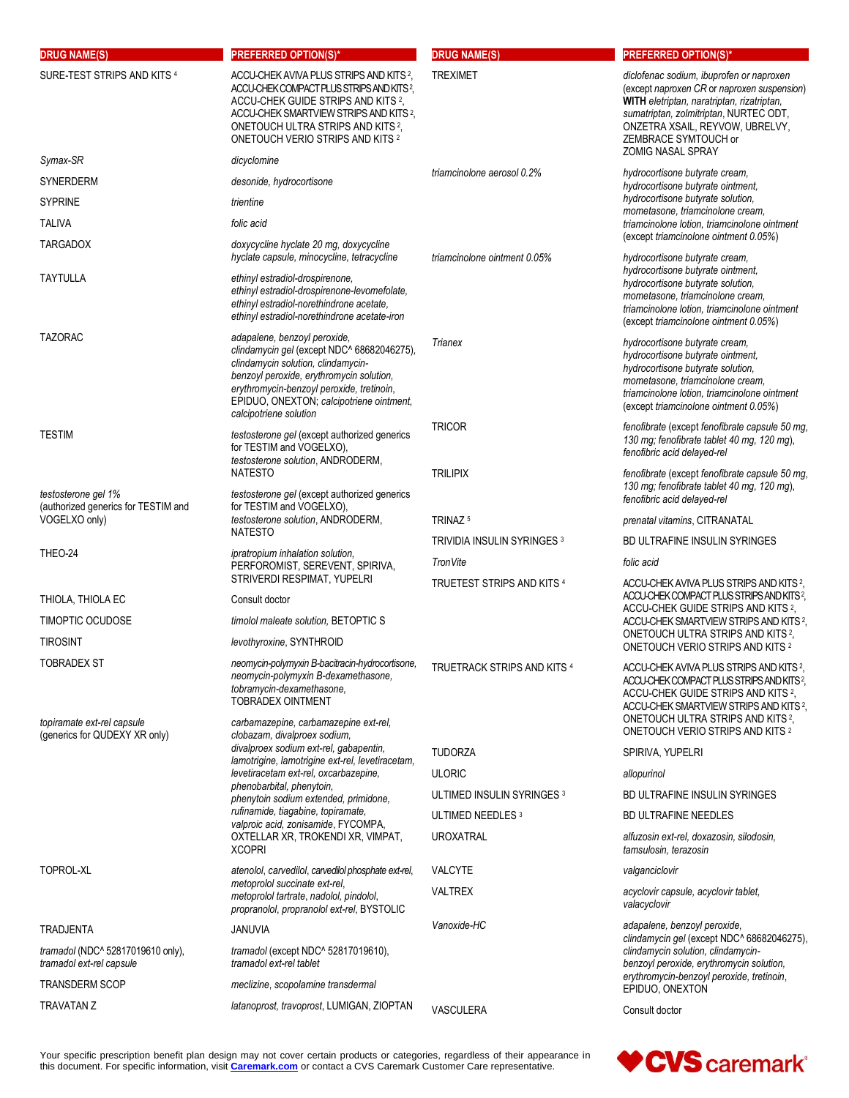| <b>DRUG NAME(S)</b>                                           | <b>PREFERRED OPTION(S)*</b>                                                                                                                                                                                                                                                       | <b>DRUG NAME(S)</b>                    | <b>PREFERRED OPTION(S)*</b>                                                                                                                                                                                                                |
|---------------------------------------------------------------|-----------------------------------------------------------------------------------------------------------------------------------------------------------------------------------------------------------------------------------------------------------------------------------|----------------------------------------|--------------------------------------------------------------------------------------------------------------------------------------------------------------------------------------------------------------------------------------------|
| SURE-TEST STRIPS AND KITS 4                                   | ACCU-CHEK AVIVA PLUS STRIPS AND KITS 2,<br>ACCU-CHEK COMPACT PLUS STRIPS AND KITS <sup>2</sup> ,<br>ACCU-CHEK GUIDE STRIPS AND KITS 2,<br>ACCU-CHEK SMARTVIEW STRIPS AND KITS <sup>2</sup> ,<br>ONETOUCH ULTRA STRIPS AND KITS <sup>2</sup> ,<br>ONETOUCH VERIO STRIPS AND KITS 2 | <b>TREXIMET</b>                        | diclofenac sodium, ibuprofen or naproxen<br>(except naproxen CR or naproxen suspension)<br>WITH eletriptan, naratriptan, rizatriptan,<br>sumatriptan, zolmitriptan, NURTEC ODT,<br>ONZETRA XSAIL, REYVOW, UBRELVY,<br>ZEMBRACE SYMTOUCH or |
| Symax-SR                                                      | dicyclomine                                                                                                                                                                                                                                                                       |                                        | <b>ZOMIG NASAL SPRAY</b>                                                                                                                                                                                                                   |
| <b>SYNERDERM</b>                                              | desonide, hydrocortisone                                                                                                                                                                                                                                                          | triamcinolone aerosol 0.2%             | hydrocortisone butyrate cream,<br>hydrocortisone butyrate ointment,                                                                                                                                                                        |
| <b>SYPRINE</b>                                                | trientine                                                                                                                                                                                                                                                                         |                                        | hydrocortisone butyrate solution,<br>mometasone, triamcinolone cream,                                                                                                                                                                      |
| <b>TALIVA</b>                                                 | folic acid                                                                                                                                                                                                                                                                        |                                        | triamcinolone lotion, triamcinolone ointment                                                                                                                                                                                               |
| <b>TARGADOX</b>                                               | doxycycline hyclate 20 mg, doxycycline<br>hyclate capsule, minocycline, tetracycline                                                                                                                                                                                              | triamcinolone ointment 0.05%           | (except triamcinolone ointment 0.05%)<br>hydrocortisone butyrate cream,                                                                                                                                                                    |
| TAYTULLA                                                      | ethinyl estradiol-drospirenone,<br>ethinyl estradiol-drospirenone-levomefolate,<br>ethinyl estradiol-norethindrone acetate,<br>ethinyl estradiol-norethindrone acetate-iron                                                                                                       |                                        | hydrocortisone butyrate ointment,<br>hydrocortisone butyrate solution,<br>mometasone, triamcinolone cream,<br>triamcinolone lotion, triamcinolone ointment<br>(except triamcinolone ointment 0.05%)                                        |
| <b>TAZORAC</b>                                                | adapalene, benzoyl peroxide,<br>clindamycin gel (except NDC^ 68682046275),<br>clindamycin solution, clindamycin-<br>benzoyl peroxide, erythromycin solution,<br>erythromycin-benzoyl peroxide, tretinoin,<br>EPIDUO, ONEXTON; calcipotriene ointment,<br>calcipotriene solution   | Trianex                                | hydrocortisone butyrate cream,<br>hydrocortisone butyrate ointment.<br>hydrocortisone butyrate solution,<br>mometasone, triamcinolone cream,<br>triamcinolone lotion, triamcinolone ointment<br>(except triamcinolone ointment 0.05%)      |
| <b>TESTIM</b>                                                 | testosterone gel (except authorized generics<br>for TESTIM and VOGELXO),<br>testosterone solution, ANDRODERM,                                                                                                                                                                     | <b>TRICOR</b>                          | fenofibrate (except fenofibrate capsule 50 mg,<br>130 mg; fenofibrate tablet 40 mg, 120 mg),<br>fenofibric acid delayed-rel                                                                                                                |
| testosterone gel 1%                                           | <b>NATESTO</b><br>testosterone gel (except authorized generics                                                                                                                                                                                                                    | <b>TRILIPIX</b>                        | fenofibrate (except fenofibrate capsule 50 mg,<br>130 mg; fenofibrate tablet 40 mg, 120 mg),<br>fenofibric acid delayed-rel                                                                                                                |
| (authorized generics for TESTIM and<br>VOGELXO only)          | for TESTIM and VOGELXO),<br>testosterone solution, ANDRODERM,<br><b>NATESTO</b>                                                                                                                                                                                                   | TRINAZ <sup>5</sup>                    | prenatal vitamins, CITRANATAL                                                                                                                                                                                                              |
|                                                               |                                                                                                                                                                                                                                                                                   | TRIVIDIA INSULIN SYRINGES <sup>3</sup> | BD ULTRAFINE INSULIN SYRINGES                                                                                                                                                                                                              |
| THEO-24                                                       | ipratropium inhalation solution,<br>PERFOROMIST, SEREVENT, SPIRIVA,                                                                                                                                                                                                               | TronVite                               | folic acid                                                                                                                                                                                                                                 |
|                                                               | STRIVERDI RESPIMAT, YUPELRI                                                                                                                                                                                                                                                       | TRUETEST STRIPS AND KITS 4             | ACCU-CHEK AVIVA PLUS STRIPS AND KITS 2,                                                                                                                                                                                                    |
| THIOLA, THIOLA EC                                             | Consult doctor                                                                                                                                                                                                                                                                    |                                        | ACCU-CHEK COMPACT PLUS STRIPS AND KITS?,<br>ACCU-CHEK GUIDE STRIPS AND KITS 2,                                                                                                                                                             |
| <b>TIMOPTIC OCUDOSE</b>                                       | timolol maleate solution, BETOPTIC S                                                                                                                                                                                                                                              |                                        | ACCU-CHEK SMARTVIEW STRIPS AND KITS <sup>2</sup> ,                                                                                                                                                                                         |
| <b>TIROSINT</b>                                               | levothyroxine, SYNTHROID                                                                                                                                                                                                                                                          |                                        | ONETOUCH ULTRA STRIPS AND KITS 2,<br><b>ONETOUCH VERIO STRIPS AND KITS 2</b>                                                                                                                                                               |
| TOBRADEX ST                                                   | neomycin-polymyxin B-bacitracin-hydrocortisone,<br>neomycin-polymyxin B-dexamethasone,<br>tobramycin-dexamethasone,<br><b>TOBRADEX OINTMENT</b>                                                                                                                                   | TRUETRACK STRIPS AND KITS 4            | ACCU-CHEK AVIVA PLUS STRIPS AND KITS 2,<br>ACCU-CHEK COMPACT PLUS STRIPS AND KITS <sup>2</sup> ,<br>ACCU-CHEK GUIDE STRIPS AND KITS 2,<br>ACCU-CHEK SMARTVIEW STRIPS AND KITS 2,<br>ONETOUCH ULTRA STRIPS AND KITS <sup>2</sup> ,          |
| topiramate ext-rel capsule<br>(generics for QUDEXY XR only)   | carbamazepine, carbamazepine ext-rel,<br>clobazam, divalproex sodium,                                                                                                                                                                                                             |                                        | <b>ONETOUCH VERIO STRIPS AND KITS 2</b>                                                                                                                                                                                                    |
|                                                               | divalproex sodium ext-rel, gabapentin,<br>lamotrigine, lamotrigine ext-rel, levetiracetam,                                                                                                                                                                                        | <b>TUDORZA</b>                         | SPIRIVA, YUPELRI                                                                                                                                                                                                                           |
|                                                               | levetiracetam ext-rel, oxcarbazepine,                                                                                                                                                                                                                                             | <b>ULORIC</b>                          | allopurinol                                                                                                                                                                                                                                |
|                                                               | phenobarbital, phenytoin,<br>phenytoin sodium extended, primidone,                                                                                                                                                                                                                | ULTIMED INSULIN SYRINGES 3             | BD ULTRAFINE INSULIN SYRINGES                                                                                                                                                                                                              |
|                                                               | rufinamide, tiagabine, topiramate,<br>valproic acid, zonisamide, FYCOMPA,                                                                                                                                                                                                         | ULTIMED NEEDLES <sup>3</sup>           | <b>BD ULTRAFINE NEEDLES</b>                                                                                                                                                                                                                |
|                                                               | OXTELLAR XR, TROKENDI XR, VIMPAT,<br><b>XCOPRI</b>                                                                                                                                                                                                                                | <b>UROXATRAL</b>                       | alfuzosin ext-rel, doxazosin, silodosin,<br>tamsulosin, terazosin                                                                                                                                                                          |
| TOPROL-XL                                                     | atenolol, carvedilol, carvedilol phosphate ext-rel,                                                                                                                                                                                                                               | <b>VALCYTE</b>                         | valganciclovir                                                                                                                                                                                                                             |
|                                                               | metoprolol succinate ext-rel,<br>metoprolol tartrate, nadolol, pindolol,<br>propranolol, propranolol ext-rel, BYSTOLIC                                                                                                                                                            | <b>VALTREX</b>                         | acyclovir capsule, acyclovir tablet,<br>valacyclovir                                                                                                                                                                                       |
| <b>TRADJENTA</b>                                              | <b>JANUVIA</b>                                                                                                                                                                                                                                                                    | Vanoxide-HC                            | adapalene, benzoyl peroxide,                                                                                                                                                                                                               |
| tramadol (NDC^ 52817019610 only),<br>tramadol ext-rel capsule | tramadol (except NDC^ 52817019610),<br>tramadol ext-rel tablet                                                                                                                                                                                                                    |                                        | clindamycin gel (except NDC^ 68682046275),<br>clindamycin solution, clindamycin-<br>benzoyl peroxide, erythromycin solution,<br>erythromycin-benzoyl peroxide, tretinoin,                                                                  |
| <b>TRANSDERM SCOP</b>                                         | meclizine, scopolamine transdermal                                                                                                                                                                                                                                                |                                        | EPIDUO, ONEXTON                                                                                                                                                                                                                            |
| <b>TRAVATAN Z</b>                                             | latanoprost, travoprost, LUMIGAN, ZIOPTAN                                                                                                                                                                                                                                         | VASCULERA                              | Consult doctor                                                                                                                                                                                                                             |

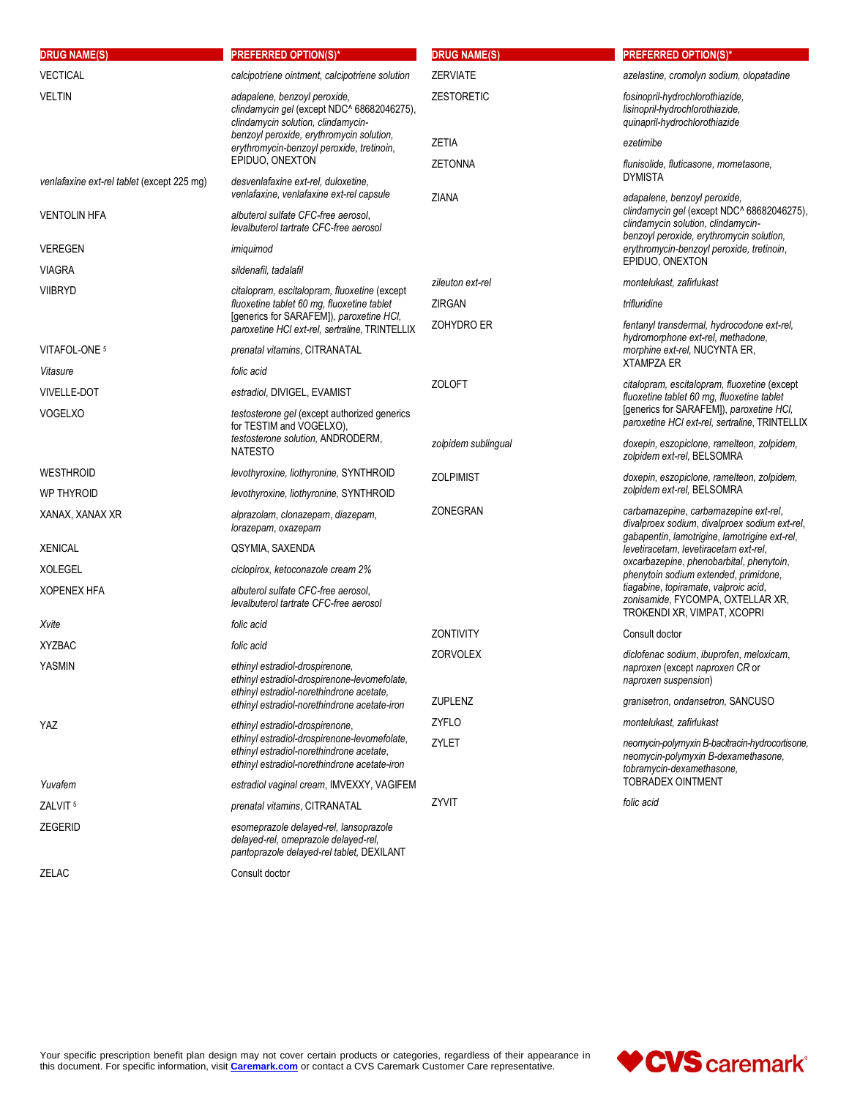| <b>DRUG NAME(S)</b>                        | <b>PREFERRED OPTION(S)*</b>                                                                                                                                                                                                  | <b>DRUG NAME(S)</b> | <b>PREFERRED OPTION(S)*</b>                                                                                                             |
|--------------------------------------------|------------------------------------------------------------------------------------------------------------------------------------------------------------------------------------------------------------------------------|---------------------|-----------------------------------------------------------------------------------------------------------------------------------------|
| <b>VECTICAL</b>                            | calcipotriene ointment, calcipotriene solution                                                                                                                                                                               | <b>ZERVIATE</b>     | azelastine, cromolyn sodium, olopatadine                                                                                                |
| <b>VELTIN</b>                              | adapalene, benzoyl peroxide,<br>clindamycin gel (except NDC^ 68682046275),<br>clindamycin solution, clindamycin-<br>benzoyl peroxide, erythromycin solution,<br>erythromycin-benzoyl peroxide, tretinoin,<br>EPIDUO, ONEXTON | <b>ZESTORETIC</b>   | fosinopril-hydrochlorothiazide,<br>lisinopril-hydrochlorothiazide,<br>quinapril-hydrochlorothiazide                                     |
|                                            |                                                                                                                                                                                                                              | ZETIA               | ezetimibe                                                                                                                               |
|                                            |                                                                                                                                                                                                                              | <b>ZETONNA</b>      | flunisolide, fluticasone, mometasone,                                                                                                   |
| venlafaxine ext-rel tablet (except 225 mq) | desvenlafaxine ext-rel, duloxetine,<br>venlafaxine, venlafaxine ext-rel capsule                                                                                                                                              |                     | <b>DYMISTA</b><br>adapalene, benzoyl peroxide,                                                                                          |
| <b>VENTOLIN HFA</b>                        | albuterol sulfate CFC-free aerosol,<br>levalbuterol tartrate CFC-free aerosol                                                                                                                                                | ZIANA               | clindamycin gel (except NDC^ 68682046275),<br>clindamycin solution, clindamycin-<br>benzoyl peroxide, erythromycin solution,            |
| <b>VEREGEN</b>                             | imiquimod                                                                                                                                                                                                                    |                     | erythromycin-benzoyl peroxide, tretinoin,                                                                                               |
| <b>VIAGRA</b>                              | sildenafil, tadalafil                                                                                                                                                                                                        |                     | EPIDUO, ONEXTON                                                                                                                         |
| <b>VIIBRYD</b>                             | citalopram, escitalopram, fluoxetine (except                                                                                                                                                                                 | zileuton ext-rel    | montelukast, zafirlukast                                                                                                                |
|                                            | fluoxetine tablet 60 mg, fluoxetine tablet<br>[generics for SARAFEM]), paroxetine HCI,                                                                                                                                       | ZIRGAN              | trifluridine                                                                                                                            |
|                                            | paroxetine HCI ext-rel, sertraline, TRINTELLIX                                                                                                                                                                               | ZOHYDRO ER          | fentanyl transdermal, hydrocodone ext-rel,<br>hydromorphone ext-rel, methadone,                                                         |
| VITAFOL-ONE 5                              | prenatal vitamins, CITRANATAL                                                                                                                                                                                                |                     | morphine ext-rel, NUCYNTA ER,                                                                                                           |
| Vitasure                                   | folic acid                                                                                                                                                                                                                   |                     | <b>XTAMPZA ER</b>                                                                                                                       |
| <b>VIVELLE-DOT</b>                         | estradiol, DIVIGEL, EVAMIST                                                                                                                                                                                                  | <b>ZOLOFT</b>       | citalopram, escitalopram, fluoxetine (except<br>fluoxetine tablet 60 mg, fluoxetine tablet                                              |
| <b>VOGELXO</b>                             | testosterone gel (except authorized generics<br>for TESTIM and VOGELXO),                                                                                                                                                     |                     | [generics for SARAFEM]), paroxetine HCI,<br>paroxetine HCI ext-rel, sertraline, TRINTELLIX                                              |
|                                            | testosterone solution, ANDRODERM,<br><b>NATESTO</b>                                                                                                                                                                          | zolpidem sublingual | doxepin, eszopiclone, ramelteon, zolpidem,<br>zolpidem ext-rel, BELSOMRA                                                                |
| WESTHROID                                  | levothyroxine, liothyronine, SYNTHROID                                                                                                                                                                                       | <b>ZOLPIMIST</b>    | doxepin, eszopiclone, ramelteon, zolpidem,                                                                                              |
| <b>WP THYROID</b>                          | levothyroxine, liothyronine, SYNTHROID                                                                                                                                                                                       |                     | zolpidem ext-rel, BELSOMRA                                                                                                              |
| XANAX, XANAX XR                            | alprazolam, clonazepam, diazepam,<br>lorazepam, oxazepam                                                                                                                                                                     | ZONEGRAN            | carbamazepine, carbamazepine ext-rel,<br>divalproex sodium, divalproex sodium ext-rel,<br>gabapentin, lamotrigine, lamotrigine ext-rel, |
| <b>XENICAL</b>                             | QSYMIA, SAXENDA                                                                                                                                                                                                              |                     | levetiracetam, levetiracetam ext-rel,                                                                                                   |
| <b>XOLEGEL</b>                             | ciclopirox, ketoconazole cream 2%                                                                                                                                                                                            |                     | oxcarbazepine, phenobarbital, phenytoin,<br>phenytoin sodium extended, primidone,                                                       |
| <b>XOPENEX HFA</b>                         | albuterol sulfate CFC-free aerosol,<br>levalbuterol tartrate CFC-free aerosol                                                                                                                                                |                     | tiagabine, topiramate, valproic acid,<br>zonisamide, FYCOMPA, OXTELLAR XR,<br>TROKENDI XR, VIMPAT, XCOPRI                               |
| Xvite                                      | folic acid                                                                                                                                                                                                                   | <b>ZONTIVITY</b>    | Consult doctor                                                                                                                          |
| <b>XYZBAC</b>                              | folic acid                                                                                                                                                                                                                   | <b>ZORVOLEX</b>     | diclofenac sodium, ibuprofen, meloxicam,                                                                                                |
| YASMIN                                     | ethinyl estradiol-drospirenone,<br>ethinyl estradiol-drospirenone-levomefolate,<br>ethinyl estradiol-norethindrone acetate,<br>ethinyl estradiol-norethindrone acetate-iron                                                  |                     | naproxen (except naproxen CR or<br>naproxen suspension)                                                                                 |
|                                            |                                                                                                                                                                                                                              | ZUPLENZ             | granisetron, ondansetron, SANCUSO                                                                                                       |
| YAZ                                        | ethinyl estradiol-drospirenone,                                                                                                                                                                                              | <b>ZYFLO</b>        | montelukast, zafirlukast                                                                                                                |
|                                            | ethinyl estradiol-drospirenone-levomefolate,<br>ethinyl estradiol-norethindrone acetate,<br>ethinyl estradiol-norethindrone acetate-iron                                                                                     | ZYLET               | neomycin-polymyxin B-bacitracin-hydrocortisone,<br>neomycin-polymyxin B-dexamethasone,<br>tobramycin-dexamethasone,                     |
| Yuvafem                                    | estradiol vaginal cream, IMVEXXY, VAGIFEM                                                                                                                                                                                    |                     | <b>TOBRADEX OINTMENT</b>                                                                                                                |
| ZALVIT <sup>5</sup>                        | prenatal vitamins, CITRANATAL                                                                                                                                                                                                | ZYVIT               | folic acid                                                                                                                              |
| <b>ZEGERID</b>                             | esomeprazole delayed-rel, lansoprazole<br>delayed-rel, omeprazole delayed-rel,<br>pantoprazole delayed-rel tablet, DEXILANT                                                                                                  |                     |                                                                                                                                         |
| ZELAC                                      | Consult doctor                                                                                                                                                                                                               |                     |                                                                                                                                         |